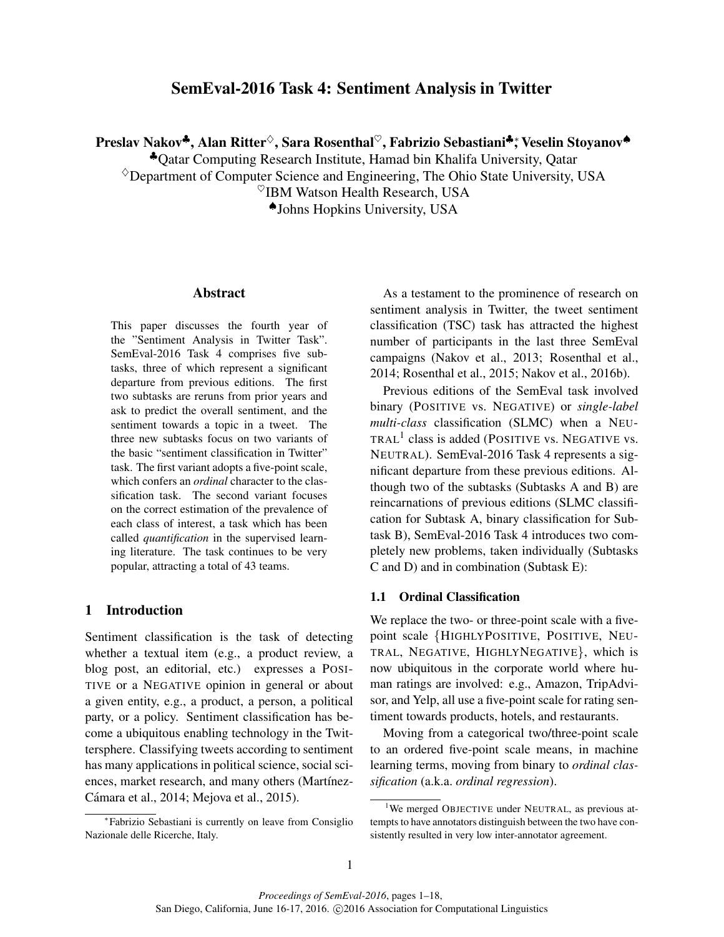# SemEval-2016 Task 4: Sentiment Analysis in Twitter

Preslav Nakov<sup>♣</sup>, Alan Ritter<sup>◇</sup>, Sara Rosenthal<sup>♡</sup>, Fabrizio Sebastiani<sup>♣</sup>; Veselin Stoyanov<sup>♠</sup>

♣Qatar Computing Research Institute, Hamad bin Khalifa University, Qatar

 $\Diamond$ Department of Computer Science and Engineering, The Ohio State University, USA

 $\%$ IBM Watson Health Research, USA

♠Johns Hopkins University, USA

#### Abstract

This paper discusses the fourth year of the "Sentiment Analysis in Twitter Task". SemEval-2016 Task 4 comprises five subtasks, three of which represent a significant departure from previous editions. The first two subtasks are reruns from prior years and ask to predict the overall sentiment, and the sentiment towards a topic in a tweet. The three new subtasks focus on two variants of the basic "sentiment classification in Twitter" task. The first variant adopts a five-point scale, which confers an *ordinal* character to the classification task. The second variant focuses on the correct estimation of the prevalence of each class of interest, a task which has been called *quantification* in the supervised learning literature. The task continues to be very popular, attracting a total of 43 teams.

### 1 Introduction

Sentiment classification is the task of detecting whether a textual item (e.g., a product review, a blog post, an editorial, etc.) expresses a POSI-TIVE or a NEGATIVE opinion in general or about a given entity, e.g., a product, a person, a political party, or a policy. Sentiment classification has become a ubiquitous enabling technology in the Twittersphere. Classifying tweets according to sentiment has many applications in political science, social sciences, market research, and many others (Martínez-Cámara et al., 2014; Mejova et al., 2015).

As a testament to the prominence of research on sentiment analysis in Twitter, the tweet sentiment classification (TSC) task has attracted the highest number of participants in the last three SemEval campaigns (Nakov et al., 2013; Rosenthal et al., 2014; Rosenthal et al., 2015; Nakov et al., 2016b).

Previous editions of the SemEval task involved binary (POSITIVE vs. NEGATIVE) or *single-label multi-class* classification (SLMC) when a NEU-TRAL<sup>1</sup> class is added (POSITIVE vs. NEGATIVE vs. NEUTRAL). SemEval-2016 Task 4 represents a significant departure from these previous editions. Although two of the subtasks (Subtasks A and B) are reincarnations of previous editions (SLMC classification for Subtask A, binary classification for Subtask B), SemEval-2016 Task 4 introduces two completely new problems, taken individually (Subtasks C and D) and in combination (Subtask E):

### 1.1 Ordinal Classification

We replace the two- or three-point scale with a fivepoint scale {HIGHLYPOSITIVE, POSITIVE, NEU-TRAL, NEGATIVE, HIGHLYNEGATIVE}, which is now ubiquitous in the corporate world where human ratings are involved: e.g., Amazon, TripAdvisor, and Yelp, all use a five-point scale for rating sentiment towards products, hotels, and restaurants.

Moving from a categorical two/three-point scale to an ordered five-point scale means, in machine learning terms, moving from binary to *ordinal classification* (a.k.a. *ordinal regression*).

<sup>∗</sup> Fabrizio Sebastiani is currently on leave from Consiglio Nazionale delle Ricerche, Italy.

<sup>&</sup>lt;sup>1</sup>We merged OBJECTIVE under NEUTRAL, as previous attempts to have annotators distinguish between the two have consistently resulted in very low inter-annotator agreement.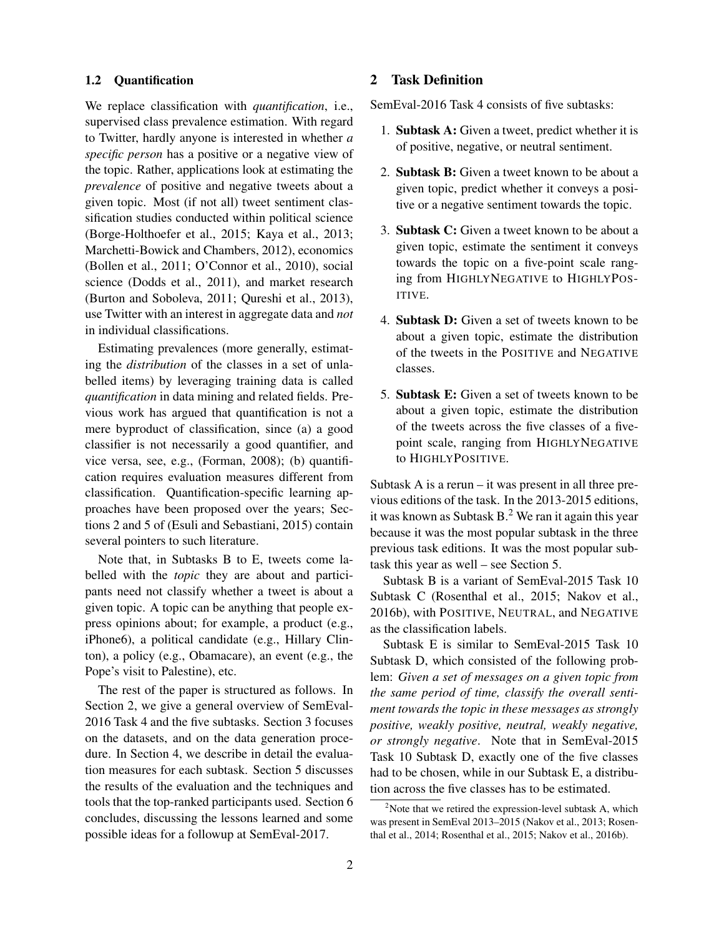#### 1.2 Quantification

We replace classification with *quantification*, i.e., supervised class prevalence estimation. With regard to Twitter, hardly anyone is interested in whether *a specific person* has a positive or a negative view of the topic. Rather, applications look at estimating the *prevalence* of positive and negative tweets about a given topic. Most (if not all) tweet sentiment classification studies conducted within political science (Borge-Holthoefer et al., 2015; Kaya et al., 2013; Marchetti-Bowick and Chambers, 2012), economics (Bollen et al., 2011; O'Connor et al., 2010), social science (Dodds et al., 2011), and market research (Burton and Soboleva, 2011; Qureshi et al., 2013), use Twitter with an interest in aggregate data and *not* in individual classifications.

Estimating prevalences (more generally, estimating the *distribution* of the classes in a set of unlabelled items) by leveraging training data is called *quantification* in data mining and related fields. Previous work has argued that quantification is not a mere byproduct of classification, since (a) a good classifier is not necessarily a good quantifier, and vice versa, see, e.g., (Forman, 2008); (b) quantification requires evaluation measures different from classification. Quantification-specific learning approaches have been proposed over the years; Sections 2 and 5 of (Esuli and Sebastiani, 2015) contain several pointers to such literature.

Note that, in Subtasks B to E, tweets come labelled with the *topic* they are about and participants need not classify whether a tweet is about a given topic. A topic can be anything that people express opinions about; for example, a product (e.g., iPhone6), a political candidate (e.g., Hillary Clinton), a policy (e.g., Obamacare), an event (e.g., the Pope's visit to Palestine), etc.

The rest of the paper is structured as follows. In Section 2, we give a general overview of SemEval-2016 Task 4 and the five subtasks. Section 3 focuses on the datasets, and on the data generation procedure. In Section 4, we describe in detail the evaluation measures for each subtask. Section 5 discusses the results of the evaluation and the techniques and tools that the top-ranked participants used. Section 6 concludes, discussing the lessons learned and some possible ideas for a followup at SemEval-2017.

## 2 Task Definition

SemEval-2016 Task 4 consists of five subtasks:

- 1. Subtask A: Given a tweet, predict whether it is of positive, negative, or neutral sentiment.
- 2. Subtask B: Given a tweet known to be about a given topic, predict whether it conveys a positive or a negative sentiment towards the topic.
- 3. Subtask C: Given a tweet known to be about a given topic, estimate the sentiment it conveys towards the topic on a five-point scale ranging from HIGHLYNEGATIVE to HIGHLYPOS-ITIVE.
- 4. Subtask D: Given a set of tweets known to be about a given topic, estimate the distribution of the tweets in the POSITIVE and NEGATIVE classes.
- 5. Subtask E: Given a set of tweets known to be about a given topic, estimate the distribution of the tweets across the five classes of a fivepoint scale, ranging from HIGHLYNEGATIVE to HIGHLYPOSITIVE.

Subtask A is a rerun – it was present in all three previous editions of the task. In the 2013-2015 editions, it was known as Subtask  $B<sup>2</sup>$  We ran it again this year because it was the most popular subtask in the three previous task editions. It was the most popular subtask this year as well – see Section 5.

Subtask B is a variant of SemEval-2015 Task 10 Subtask C (Rosenthal et al., 2015; Nakov et al., 2016b), with POSITIVE, NEUTRAL, and NEGATIVE as the classification labels.

Subtask E is similar to SemEval-2015 Task 10 Subtask D, which consisted of the following problem: *Given a set of messages on a given topic from the same period of time, classify the overall sentiment towards the topic in these messages as strongly positive, weakly positive, neutral, weakly negative, or strongly negative*. Note that in SemEval-2015 Task 10 Subtask D, exactly one of the five classes had to be chosen, while in our Subtask E, a distribution across the five classes has to be estimated.

 $2^2$ Note that we retired the expression-level subtask A, which was present in SemEval 2013–2015 (Nakov et al., 2013; Rosenthal et al., 2014; Rosenthal et al., 2015; Nakov et al., 2016b).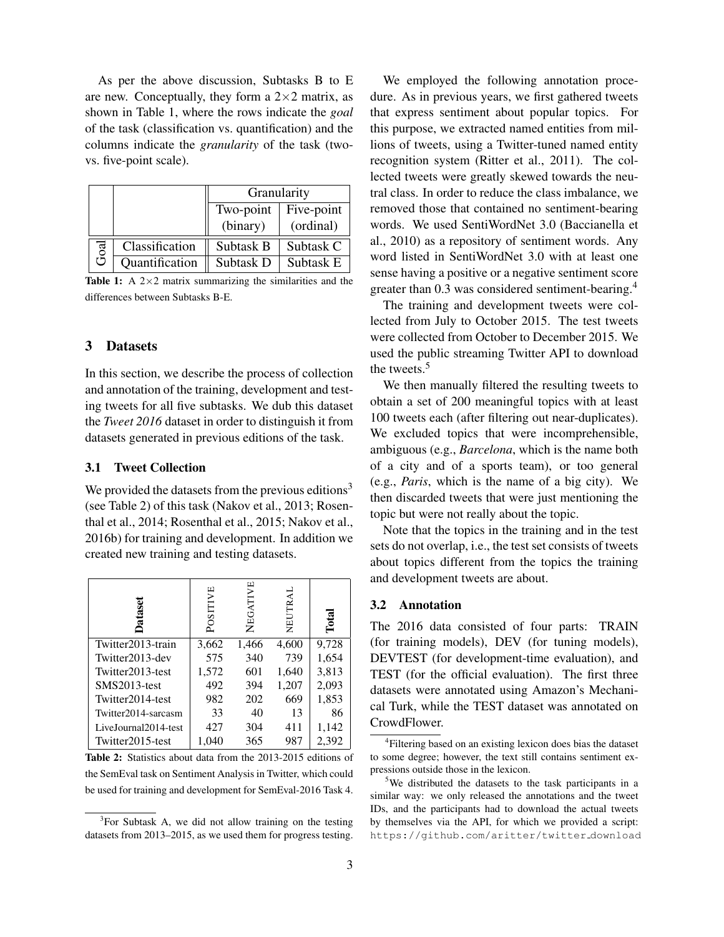As per the above discussion, Subtasks B to E are new. Conceptually, they form a  $2\times 2$  matrix, as shown in Table 1, where the rows indicate the *goal* of the task (classification vs. quantification) and the columns indicate the *granularity* of the task (twovs. five-point scale).

|      |                | Granularity |            |  |  |
|------|----------------|-------------|------------|--|--|
|      |                | Two-point   | Five-point |  |  |
|      |                | (binary)    | (ordinal)  |  |  |
| Goal | Classification | Subtask B   | Subtask C  |  |  |
|      | Quantification | Subtask D   | Subtask E  |  |  |

**Table 1:** A  $2 \times 2$  matrix summarizing the similarities and the differences between Subtasks B-E.

## 3 Datasets

In this section, we describe the process of collection and annotation of the training, development and testing tweets for all five subtasks. We dub this dataset the *Tweet 2016* dataset in order to distinguish it from datasets generated in previous editions of the task.

## 3.1 Tweet Collection

We provided the datasets from the previous editions<sup>3</sup> (see Table 2) of this task (Nakov et al., 2013; Rosenthal et al., 2014; Rosenthal et al., 2015; Nakov et al., 2016b) for training and development. In addition we created new training and testing datasets.

| P<br>ā               | SITIVE<br>$\rm \tilde{P}$ | NEGATIVE | NEUTRAL | $\Gamma$ otal |
|----------------------|---------------------------|----------|---------|---------------|
| Twitter2013-train    | 3,662                     | 1,466    | 4,600   | 9,728         |
| Twitter2013-dev      | 575                       | 340      | 739     | 1,654         |
| Twitter2013-test     | 1,572                     | 601      | 1,640   | 3,813         |
| SMS2013-test         | 492                       | 394      | 1,207   | 2,093         |
| Twitter2014-test     | 982                       | 202      | 669     | 1,853         |
| Twitter2014-sarcasm  | 33                        | 40       | 13      | 86            |
| LiveJournal2014-test | 427                       | 304      | 411     | 1,142         |
| Twitter2015-test     | 1.040                     | 365      | 987     | 2.392         |

Table 2: Statistics about data from the 2013-2015 editions of the SemEval task on Sentiment Analysis in Twitter, which could be used for training and development for SemEval-2016 Task 4.

We employed the following annotation procedure. As in previous years, we first gathered tweets that express sentiment about popular topics. For this purpose, we extracted named entities from millions of tweets, using a Twitter-tuned named entity recognition system (Ritter et al., 2011). The collected tweets were greatly skewed towards the neutral class. In order to reduce the class imbalance, we removed those that contained no sentiment-bearing words. We used SentiWordNet 3.0 (Baccianella et al., 2010) as a repository of sentiment words. Any word listed in SentiWordNet 3.0 with at least one sense having a positive or a negative sentiment score greater than 0.3 was considered sentiment-bearing.<sup>4</sup>

The training and development tweets were collected from July to October 2015. The test tweets were collected from October to December 2015. We used the public streaming Twitter API to download the tweets.<sup>5</sup>

We then manually filtered the resulting tweets to obtain a set of 200 meaningful topics with at least 100 tweets each (after filtering out near-duplicates). We excluded topics that were incomprehensible, ambiguous (e.g., *Barcelona*, which is the name both of a city and of a sports team), or too general (e.g., *Paris*, which is the name of a big city). We then discarded tweets that were just mentioning the topic but were not really about the topic.

Note that the topics in the training and in the test sets do not overlap, i.e., the test set consists of tweets about topics different from the topics the training and development tweets are about.

#### 3.2 Annotation

The 2016 data consisted of four parts: TRAIN (for training models), DEV (for tuning models), DEVTEST (for development-time evaluation), and TEST (for the official evaluation). The first three datasets were annotated using Amazon's Mechanical Turk, while the TEST dataset was annotated on CrowdFlower.

<sup>&</sup>lt;sup>3</sup>For Subtask A, we did not allow training on the testing datasets from 2013–2015, as we used them for progress testing.

<sup>&</sup>lt;sup>4</sup>Filtering based on an existing lexicon does bias the dataset to some degree; however, the text still contains sentiment expressions outside those in the lexicon.

<sup>&</sup>lt;sup>5</sup>We distributed the datasets to the task participants in a similar way: we only released the annotations and the tweet IDs, and the participants had to download the actual tweets by themselves via the API, for which we provided a script: https://github.com/aritter/twitter download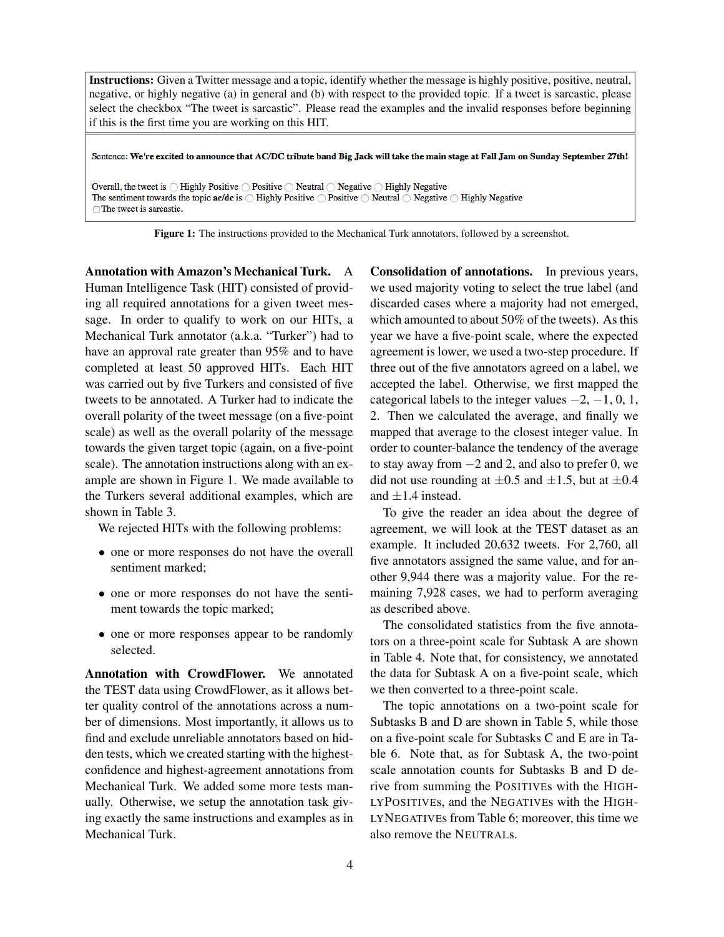Instructions: Given a Twitter message and a topic, identify whether the message is highly positive, positive, neutral, negative, or highly negative (a) in general and (b) with respect to the provided topic. If a tweet is sarcastic, please select the checkbox "The tweet is sarcastic". Please read the examples and the invalid responses before beginning if this is the first time you are working on this HIT.

Sentence: We're excited to announce that AC/DC tribute band Big Jack will take the main stage at Fall Jam on Sunday September 27th!

Overall, the tweet is  $\bigcirc$  Highly Positive  $\bigcirc$  Positive  $\bigcirc$  Neutral  $\bigcirc$  Negative  $\bigcirc$  Highly Negative The sentiment towards the topic  $ac/dc$  is  $\bigcirc$  Highly Positive  $\bigcirc$  Positive  $\bigcirc$  Neutral  $\bigcirc$  Negative  $\bigcirc$  Highly Negative  $\Box$  The tweet is sarcastic.

Figure 1: The instructions provided to the Mechanical Turk annotators, followed by a screenshot.

Annotation with Amazon's Mechanical Turk. A Human Intelligence Task (HIT) consisted of providing all required annotations for a given tweet message. In order to qualify to work on our HITs, a Mechanical Turk annotator (a.k.a. "Turker") had to have an approval rate greater than 95% and to have completed at least 50 approved HITs. Each HIT was carried out by five Turkers and consisted of five tweets to be annotated. A Turker had to indicate the overall polarity of the tweet message (on a five-point scale) as well as the overall polarity of the message towards the given target topic (again, on a five-point scale). The annotation instructions along with an example are shown in Figure 1. We made available to the Turkers several additional examples, which are shown in Table 3.

We rejected HITs with the following problems:

- one or more responses do not have the overall sentiment marked;
- one or more responses do not have the sentiment towards the topic marked;
- one or more responses appear to be randomly selected.

Annotation with CrowdFlower. We annotated the TEST data using CrowdFlower, as it allows better quality control of the annotations across a number of dimensions. Most importantly, it allows us to find and exclude unreliable annotators based on hidden tests, which we created starting with the highestconfidence and highest-agreement annotations from Mechanical Turk. We added some more tests manually. Otherwise, we setup the annotation task giving exactly the same instructions and examples as in Mechanical Turk.

Consolidation of annotations. In previous years, we used majority voting to select the true label (and discarded cases where a majority had not emerged, which amounted to about 50% of the tweets). As this year we have a five-point scale, where the expected agreement is lower, we used a two-step procedure. If three out of the five annotators agreed on a label, we accepted the label. Otherwise, we first mapped the categorical labels to the integer values  $-2$ ,  $-1$ , 0, 1, 2. Then we calculated the average, and finally we mapped that average to the closest integer value. In order to counter-balance the tendency of the average to stay away from −2 and 2, and also to prefer 0, we did not use rounding at  $\pm 0.5$  and  $\pm 1.5$ , but at  $\pm 0.4$ and  $\pm 1.4$  instead.

To give the reader an idea about the degree of agreement, we will look at the TEST dataset as an example. It included 20,632 tweets. For 2,760, all five annotators assigned the same value, and for another 9,944 there was a majority value. For the remaining 7,928 cases, we had to perform averaging as described above.

The consolidated statistics from the five annotators on a three-point scale for Subtask A are shown in Table 4. Note that, for consistency, we annotated the data for Subtask A on a five-point scale, which we then converted to a three-point scale.

The topic annotations on a two-point scale for Subtasks B and D are shown in Table 5, while those on a five-point scale for Subtasks C and E are in Table 6. Note that, as for Subtask A, the two-point scale annotation counts for Subtasks B and D derive from summing the POSITIVEs with the HIGH-LYPOSITIVEs, and the NEGATIVEs with the HIGH-LYNEGATIVEs from Table 6; moreover, this time we also remove the NEUTRALs.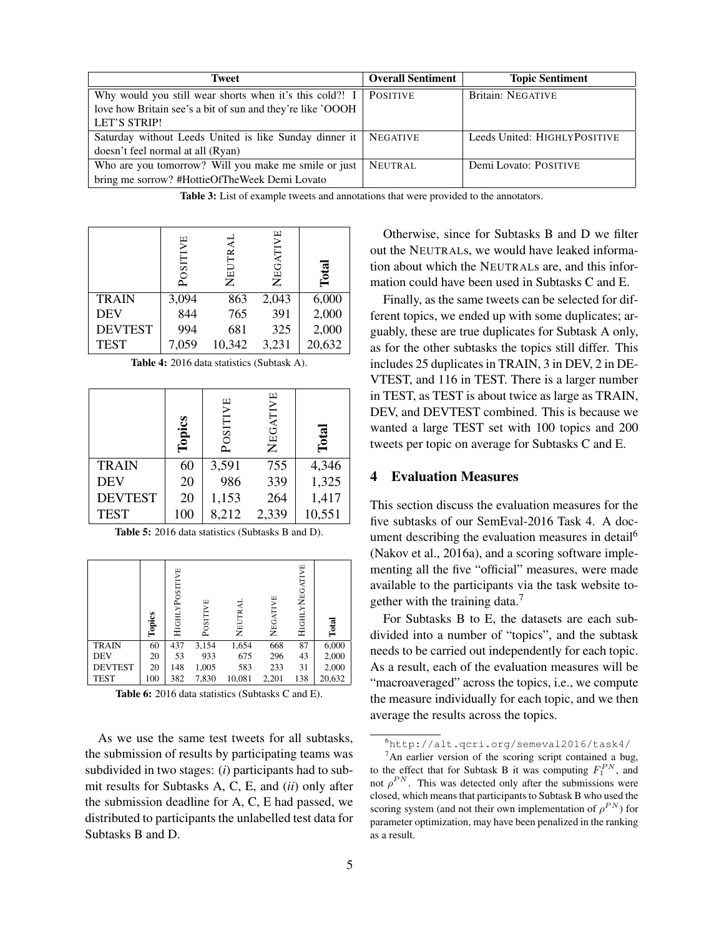| Tweet                                                             | <b>Overall Sentiment</b> | <b>Topic Sentiment</b>       |
|-------------------------------------------------------------------|--------------------------|------------------------------|
| Why would you still wear shorts when it's this cold?! I           | <b>POSITIVE</b>          | <b>Britain: NEGATIVE</b>     |
| love how Britain see's a bit of sun and they're like 'OOOH        |                          |                              |
| <b>LET'S STRIP!</b>                                               |                          |                              |
| Saturday without Leeds United is like Sunday dinner it   NEGATIVE |                          | Leeds United: HIGHLYPOSITIVE |
| doesn't feel normal at all (Ryan)                                 |                          |                              |
| Who are you tomorrow? Will you make me smile or just              | <b>NEUTRAL</b>           | Demi Lovato: POSITIVE        |
| bring me sorrow? #HottieOfTheWeek Demi Lovato                     |                          |                              |

Table 3: List of example tweets and annotations that were provided to the annotators.

|                | УE<br>POSITI | NEUTRAI | NEGATIVE | Tota   |
|----------------|--------------|---------|----------|--------|
| <b>TRAIN</b>   | 3,094        | 863     | 2,043    | 6,000  |
| <b>DEV</b>     | 844          | 765     | 391      | 2,000  |
| <b>DEVTEST</b> | 994          | 681     | 325      | 2,000  |
| <b>TEST</b>    | 7,059        | 10,342  | 3,231    | 20,632 |

| <b>Table 4:</b> 2016 data statistics (Subtask A). |  |
|---------------------------------------------------|--|
|---------------------------------------------------|--|

|                | Topics | POSITIVE | NEGATIVE | <b>Total</b> |
|----------------|--------|----------|----------|--------------|
| <b>TRAIN</b>   | 60     | 3,591    | 755      | 4,346        |
| <b>DEV</b>     | 20     | 986      | 339      | 1,325        |
| <b>DEVTEST</b> | 20     | 1,153    | 264      | 1,417        |
| <b>TEST</b>    | 100    | 8,212    | 2,339    | 10,551       |

|  |  |  |  | Table 5: 2016 data statistics (Subtasks B and D). |  |  |  |
|--|--|--|--|---------------------------------------------------|--|--|--|
|--|--|--|--|---------------------------------------------------|--|--|--|

|                | Topics | HIGHLYPOSITIVE | POSITIVE | NEUTRAI | NEGATIVE | HIGHLYNEGATIVE | Total  |
|----------------|--------|----------------|----------|---------|----------|----------------|--------|
| <b>TRAIN</b>   | 60     | 437            | 3,154    | 1,654   | 668      | 87             | 6,000  |
| <b>DEV</b>     | 20     | 53             | 933      | 675     | 296      | 43             | 2,000  |
| <b>DEVTEST</b> | 20     | 148            | 1,005    | 583     | 233      | 31             | 2,000  |
| <b>TEST</b>    | 100    | 382            | 7,830    | 10,081  | 2,201    | 138            | 20,632 |

Table 6: 2016 data statistics (Subtasks C and E).

As we use the same test tweets for all subtasks, the submission of results by participating teams was subdivided in two stages: (*i*) participants had to submit results for Subtasks A, C, E, and (*ii*) only after the submission deadline for A, C, E had passed, we distributed to participants the unlabelled test data for Subtasks B and D.

Otherwise, since for Subtasks B and D we filter out the NEUTRALs, we would have leaked information about which the NEUTRALs are, and this information could have been used in Subtasks C and E.

Finally, as the same tweets can be selected for different topics, we ended up with some duplicates; arguably, these are true duplicates for Subtask A only, as for the other subtasks the topics still differ. This includes 25 duplicates in TRAIN, 3 in DEV, 2 in DE-VTEST, and 116 in TEST. There is a larger number in TEST, as TEST is about twice as large as TRAIN, DEV, and DEVTEST combined. This is because we wanted a large TEST set with 100 topics and 200 tweets per topic on average for Subtasks C and E.

## **Evaluation Measures**

This section discuss the evaluation measures for the five subtasks of our SemEval-2016 Task 4. A document describing the evaluation measures in detail<sup>6</sup> (Nakov et al., 2016a), and a scoring software implementing all the five "official" measures, were made available to the participants via the task website together with the training data.<sup>7</sup>

For Subtasks B to E, the datasets are each subdivided into a number of "topics", and the subtask needs to be carried out independently for each topic. As a result, each of the evaluation measures will be "macroaveraged" across the topics, i.e., we compute the measure individually for each topic, and we then average the results across the topics.

<sup>6</sup>http://alt.qcri.org/semeval2016/task4/

 $7$ An earlier version of the scoring script contained a bug, to the effect that for Subtask B it was computing  $F_1^{PN}$ , and not  $\rho^{PN}$ . This was detected only after the submissions were closed, which means that participants to Subtask B who used the scoring system (and not their own implementation of  $\rho^{PN}$ ) for parameter optimization, may have been penalized in the ranking as a result.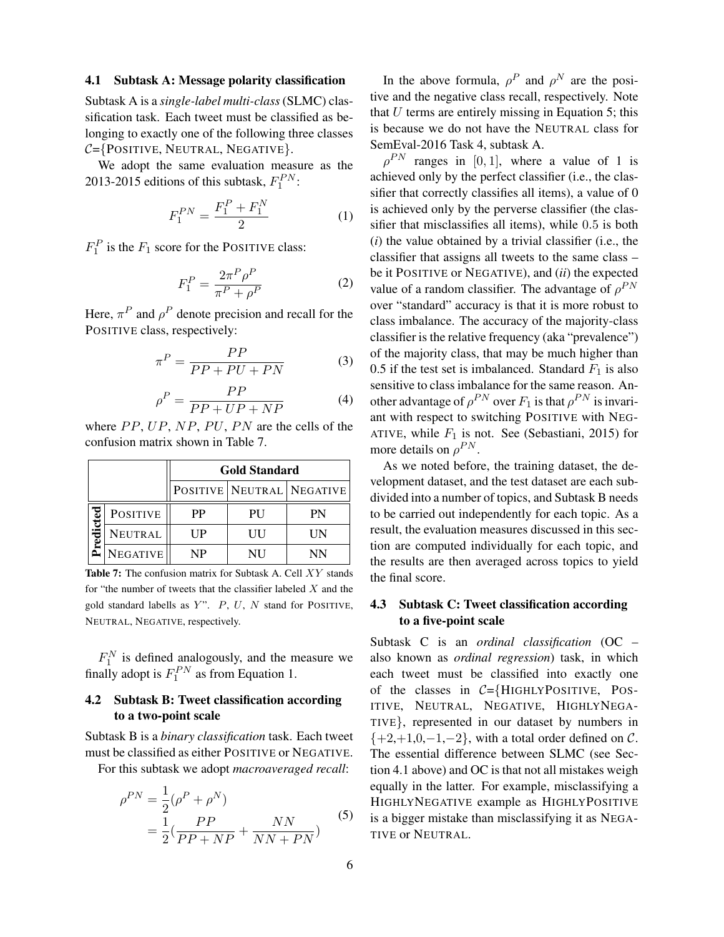#### 4.1 Subtask A: Message polarity classification

Subtask A is a *single-label multi-class* (SLMC) classification task. Each tweet must be classified as belonging to exactly one of the following three classes  $C = \{PosITIVE, NEUTRAL, NEGATIVE\}.$ 

We adopt the same evaluation measure as the 2013-2015 editions of this subtask,  $F_1^{PN}$ :

$$
F_1^{PN} = \frac{F_1^P + F_1^N}{2} \tag{1}
$$

 $F_1^P$  is the  $F_1$  score for the POSITIVE class:

$$
F_1^P = \frac{2\pi^P \rho^P}{\pi^P + \rho^P} \tag{2}
$$

Here,  $\pi^P$  and  $\rho^P$  denote precision and recall for the POSITIVE class, respectively:

$$
\pi^P = \frac{PP}{PP + PU + PN} \tag{3}
$$

$$
\rho^P = \frac{PP}{PP + UP + NP} \tag{4}
$$

where  $PP$ ,  $UP$ ,  $NP$ ,  $PU$ ,  $PN$  are the cells of the confusion matrix shown in Table 7.

|        |                 | <b>Gold Standard</b> |    |                               |  |  |  |
|--------|-----------------|----------------------|----|-------------------------------|--|--|--|
|        |                 |                      |    | POSITIVE   NEUTRAL   NEGATIVE |  |  |  |
|        | <b>POSITIVE</b> | PP                   | PU | PN                            |  |  |  |
| edicte | <b>NEUTRAL</b>  | UР                   | UU | UМ                            |  |  |  |
|        | <b>NEGATIVE</b> | NP                   | NH | NN                            |  |  |  |

Table 7: The confusion matrix for Subtask A. Cell XY stands for "the number of tweets that the classifier labeled  $X$  and the gold standard labells as  $Y$ ".  $P$ ,  $U$ ,  $N$  stand for POSITIVE, NEUTRAL, NEGATIVE, respectively.

 $F_1^N$  is defined analogously, and the measure we finally adopt is  $F_1^{PN}$  as from Equation 1.

# 4.2 Subtask B: Tweet classification according to a two-point scale

Subtask B is a *binary classification* task. Each tweet must be classified as either POSITIVE or NEGATIVE.

For this subtask we adopt *macroaveraged recall*:

$$
\rho^{PN} = \frac{1}{2} (\rho^P + \rho^N) \n= \frac{1}{2} (\frac{PP}{PP + NP} + \frac{NN}{NN + PN})
$$
\n(5)

In the above formula,  $\rho^P$  and  $\rho^N$  are the positive and the negative class recall, respectively. Note that  $U$  terms are entirely missing in Equation 5; this is because we do not have the NEUTRAL class for SemEval-2016 Task 4, subtask A.

 $\rho^{PN}$  ranges in [0, 1], where a value of 1 is achieved only by the perfect classifier (i.e., the classifier that correctly classifies all items), a value of 0 is achieved only by the perverse classifier (the classifier that misclassifies all items), while 0.5 is both (*i*) the value obtained by a trivial classifier (i.e., the classifier that assigns all tweets to the same class – be it POSITIVE or NEGATIVE), and (*ii*) the expected value of a random classifier. The advantage of  $\rho^{PN}$ over "standard" accuracy is that it is more robust to class imbalance. The accuracy of the majority-class classifier is the relative frequency (aka "prevalence") of the majority class, that may be much higher than 0.5 if the test set is imbalanced. Standard  $F_1$  is also sensitive to class imbalance for the same reason. Another advantage of  $\rho^{PN}$  over  $F_1$  is that  $\rho^{PN}$  is invariant with respect to switching POSITIVE with NEG-ATIVE, while  $F_1$  is not. See (Sebastiani, 2015) for more details on  $\rho^{PN}$ .

As we noted before, the training dataset, the development dataset, and the test dataset are each subdivided into a number of topics, and Subtask B needs to be carried out independently for each topic. As a result, the evaluation measures discussed in this section are computed individually for each topic, and the results are then averaged across topics to yield the final score.

## 4.3 Subtask C: Tweet classification according to a five-point scale

Subtask C is an *ordinal classification* (OC – also known as *ordinal regression*) task, in which each tweet must be classified into exactly one of the classes in  $C = \{H \cup \text{H} \cup \text{H} \cup \text{H} \cup \text{H} \cup \text{H} \cup \text{H} \cup \text{H} \cup \text{H} \cup \text{H} \cup \text{H} \cup \text{H} \cup \text{H} \cup \text{H} \cup \text{H} \cup \text{H} \cup \text{H} \cup \text{H} \cup \text{H} \cup \text{H} \cup \text{H} \cup \text{H} \cup \text{H} \cup \text{H} \cup \text{H} \cup \text{H} \cup \text{H} \cup \text{H} \cup \text{H} \$ ITIVE, NEUTRAL, NEGATIVE, HIGHLYNEGA-TIVE}, represented in our dataset by numbers in  $\{+2,+1,0,-1,-2\}$ , with a total order defined on C. The essential difference between SLMC (see Section 4.1 above) and OC is that not all mistakes weigh equally in the latter. For example, misclassifying a HIGHLYNEGATIVE example as HIGHLYPOSITIVE is a bigger mistake than misclassifying it as NEGA-TIVE or NEUTRAL.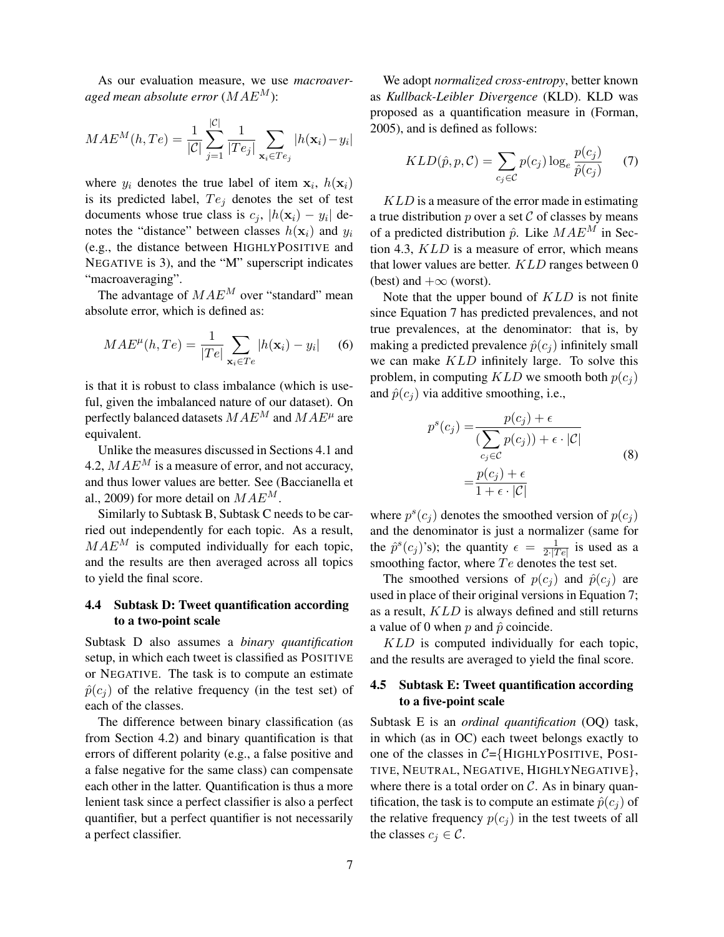As our evaluation measure, we use *macroaveraged mean absolute error*  $(MAE^M)$ :

$$
MAE^{M}(h, Te) = \frac{1}{|\mathcal{C}|} \sum_{j=1}^{|\mathcal{C}|} \frac{1}{|Te_j|} \sum_{\mathbf{x}_i \in Te_j} |h(\mathbf{x}_i) - y_i|
$$

where  $y_i$  denotes the true label of item  $x_i$ ,  $h(x_i)$ is its predicted label,  $Te<sub>j</sub>$  denotes the set of test documents whose true class is  $c_j$ ,  $|h(\mathbf{x}_i) - y_i|$  denotes the "distance" between classes  $h(\mathbf{x}_i)$  and  $y_i$ (e.g., the distance between HIGHLYPOSITIVE and NEGATIVE is 3), and the "M" superscript indicates "macroaveraging".

The advantage of  $MAE^M$  over "standard" mean absolute error, which is defined as:

$$
MAE^{\mu}(h, Te) = \frac{1}{|Te|} \sum_{\mathbf{x}_i \in Te} |h(\mathbf{x}_i) - y_i| \quad (6)
$$

is that it is robust to class imbalance (which is useful, given the imbalanced nature of our dataset). On perfectly balanced datasets  $MAE^{M}$  and  $MAE^{\mu}$  are equivalent.

Unlike the measures discussed in Sections 4.1 and 4.2,  $MAE<sup>M</sup>$  is a measure of error, and not accuracy, and thus lower values are better. See (Baccianella et al., 2009) for more detail on  $MAE^M$ .

Similarly to Subtask B, Subtask C needs to be carried out independently for each topic. As a result,  $MAE<sup>M</sup>$  is computed individually for each topic, and the results are then averaged across all topics to yield the final score.

## 4.4 Subtask D: Tweet quantification according to a two-point scale

Subtask D also assumes a *binary quantification* setup, in which each tweet is classified as POSITIVE or NEGATIVE. The task is to compute an estimate  $\hat{p}(c_i)$  of the relative frequency (in the test set) of each of the classes.

The difference between binary classification (as from Section 4.2) and binary quantification is that errors of different polarity (e.g., a false positive and a false negative for the same class) can compensate each other in the latter. Quantification is thus a more lenient task since a perfect classifier is also a perfect quantifier, but a perfect quantifier is not necessarily a perfect classifier.

We adopt *normalized cross-entropy*, better known as *Kullback-Leibler Divergence* (KLD). KLD was proposed as a quantification measure in (Forman, 2005), and is defined as follows:

$$
KLD(\hat{p}, p, C) = \sum_{c_j \in C} p(c_j) \log_e \frac{p(c_j)}{\hat{p}(c_j)}
$$
(7)

KLD is a measure of the error made in estimating a true distribution  $p$  over a set  $\mathcal C$  of classes by means of a predicted distribution  $\hat{p}$ . Like  $MAE^M$  in Section 4.3, KLD is a measure of error, which means that lower values are better. KLD ranges between 0 (best) and  $+\infty$  (worst).

Note that the upper bound of KLD is not finite since Equation 7 has predicted prevalences, and not true prevalences, at the denominator: that is, by making a predicted prevalence  $\hat{p}(c_i)$  infinitely small we can make KLD infinitely large. To solve this problem, in computing  $KLD$  we smooth both  $p(c_i)$ and  $\hat{p}(c_i)$  via additive smoothing, i.e.,

$$
p^{s}(c_j) = \frac{p(c_j) + \epsilon}{\sum_{c_j \in C} p(c_j) + \epsilon \cdot |\mathcal{C}|}
$$
  
= 
$$
\frac{p(c_j) + \epsilon}{1 + \epsilon \cdot |\mathcal{C}|}
$$
 (8)

where  $p^{s}(c_j)$  denotes the smoothed version of  $p(c_j)$ and the denominator is just a normalizer (same for the  $\hat{p}^s(c_j)$ 's); the quantity  $\epsilon = \frac{1}{2\cdot17}$  $\frac{1}{2\sqrt{|Te|}}$  is used as a smoothing factor, where  $Te$  denotes the test set.

The smoothed versions of  $p(c_i)$  and  $\hat{p}(c_i)$  are used in place of their original versions in Equation 7; as a result, KLD is always defined and still returns a value of 0 when  $p$  and  $\hat{p}$  coincide.

KLD is computed individually for each topic, and the results are averaged to yield the final score.

## 4.5 Subtask E: Tweet quantification according to a five-point scale

Subtask E is an *ordinal quantification* (OQ) task, in which (as in OC) each tweet belongs exactly to one of the classes in  $C = \{H \cup H \cup P \cup H \}$ . POSI-TIVE, NEUTRAL, NEGATIVE, HIGHLYNEGATIVE}, where there is a total order on  $C$ . As in binary quantification, the task is to compute an estimate  $\hat{p}(c_i)$  of the relative frequency  $p(c_j)$  in the test tweets of all the classes  $c_j \in \mathcal{C}$ .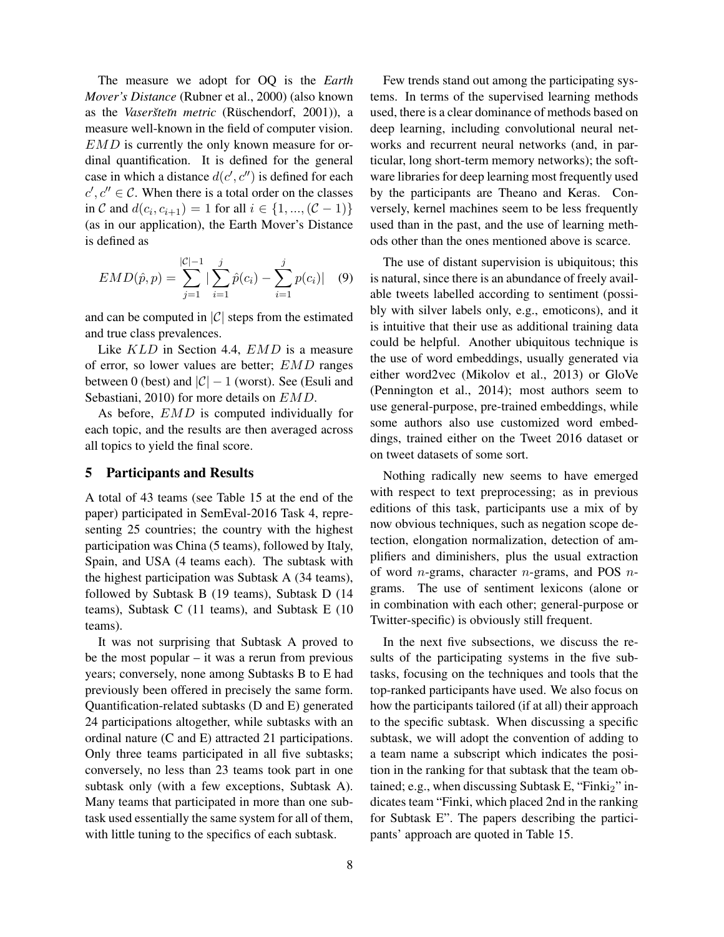The measure we adopt for OQ is the *Earth Mover's Distance* (Rubner et al., 2000) (also known as the *Vaseršteĭn metric* (Rüschendorf, 2001)), a measure well-known in the field of computer vision. EMD is currently the only known measure for ordinal quantification. It is defined for the general case in which a distance  $d(c', c'')$  is defined for each  $c', c'' \in \mathcal{C}$ . When there is a total order on the classes in C and  $d(c_i, c_{i+1}) = 1$  for all  $i \in \{1, ..., (\mathcal{C} - 1)\}\$ (as in our application), the Earth Mover's Distance is defined as

$$
EMD(\hat{p}, p) = \sum_{j=1}^{|\mathcal{C}|-1} |\sum_{i=1}^{j} \hat{p}(c_i) - \sum_{i=1}^{j} p(c_i)| \quad (9)
$$

and can be computed in  $|C|$  steps from the estimated and true class prevalences.

Like KLD in Section 4.4, EMD is a measure of error, so lower values are better; EMD ranges between 0 (best) and  $|\mathcal{C}| - 1$  (worst). See (Esuli and Sebastiani, 2010) for more details on  $EMD$ .

As before, EMD is computed individually for each topic, and the results are then averaged across all topics to yield the final score.

## 5 Participants and Results

A total of 43 teams (see Table 15 at the end of the paper) participated in SemEval-2016 Task 4, representing 25 countries; the country with the highest participation was China (5 teams), followed by Italy, Spain, and USA (4 teams each). The subtask with the highest participation was Subtask A (34 teams), followed by Subtask B (19 teams), Subtask D (14 teams), Subtask C (11 teams), and Subtask E (10 teams).

It was not surprising that Subtask A proved to be the most popular  $-$  it was a rerun from previous years; conversely, none among Subtasks B to E had previously been offered in precisely the same form. Quantification-related subtasks (D and E) generated 24 participations altogether, while subtasks with an ordinal nature (C and E) attracted 21 participations. Only three teams participated in all five subtasks; conversely, no less than 23 teams took part in one subtask only (with a few exceptions, Subtask A). Many teams that participated in more than one subtask used essentially the same system for all of them, with little tuning to the specifics of each subtask.

Few trends stand out among the participating systems. In terms of the supervised learning methods used, there is a clear dominance of methods based on deep learning, including convolutional neural networks and recurrent neural networks (and, in particular, long short-term memory networks); the software libraries for deep learning most frequently used by the participants are Theano and Keras. Conversely, kernel machines seem to be less frequently used than in the past, and the use of learning methods other than the ones mentioned above is scarce.

The use of distant supervision is ubiquitous; this is natural, since there is an abundance of freely available tweets labelled according to sentiment (possibly with silver labels only, e.g., emoticons), and it is intuitive that their use as additional training data could be helpful. Another ubiquitous technique is the use of word embeddings, usually generated via either word2vec (Mikolov et al., 2013) or GloVe (Pennington et al., 2014); most authors seem to use general-purpose, pre-trained embeddings, while some authors also use customized word embeddings, trained either on the Tweet 2016 dataset or on tweet datasets of some sort.

Nothing radically new seems to have emerged with respect to text preprocessing; as in previous editions of this task, participants use a mix of by now obvious techniques, such as negation scope detection, elongation normalization, detection of amplifiers and diminishers, plus the usual extraction of word *n*-grams, character *n*-grams, and POS *n*grams. The use of sentiment lexicons (alone or in combination with each other; general-purpose or Twitter-specific) is obviously still frequent.

In the next five subsections, we discuss the results of the participating systems in the five subtasks, focusing on the techniques and tools that the top-ranked participants have used. We also focus on how the participants tailored (if at all) their approach to the specific subtask. When discussing a specific subtask, we will adopt the convention of adding to a team name a subscript which indicates the position in the ranking for that subtask that the team obtained; e.g., when discussing Subtask E, "Finki $_2$ " indicates team "Finki, which placed 2nd in the ranking for Subtask E". The papers describing the participants' approach are quoted in Table 15.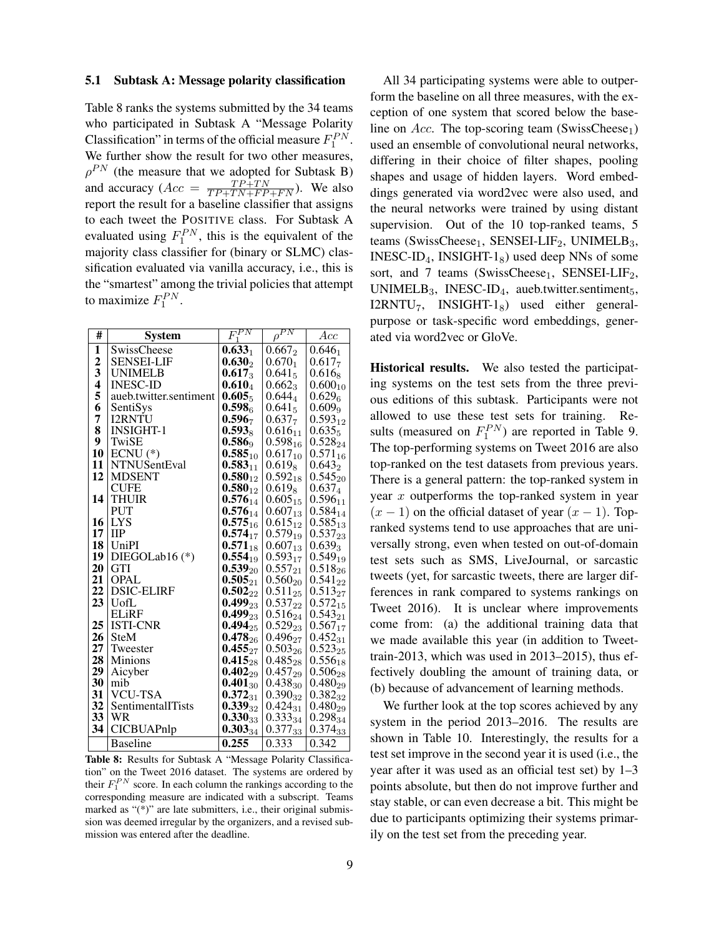#### 5.1 Subtask A: Message polarity classification

Table 8 ranks the systems submitted by the 34 teams who participated in Subtask A "Message Polarity Classification" in terms of the official measure  $F_1^{PN}$ . We further show the result for two other measures,  $\rho^{PN}$  (the measure that we adopted for Subtask B) and accuracy ( $Acc = \frac{TP+TN}{TP+TN+FP+FN}$ ). We also report the result for a baseline classifier that assigns to each tweet the POSITIVE class. For Subtask A evaluated using  $F_1^{PN}$ , this is the equivalent of the majority class classifier for (binary or SLMC) classification evaluated via vanilla accuracy, i.e., this is the "smartest" among the trivial policies that attempt to maximize  $F_1^{PN}$ .

| #            | <b>System</b>          | $F_1^{P\bar{N}}$   | $\rho^{PN}$        | Acc                |
|--------------|------------------------|--------------------|--------------------|--------------------|
| 1            | SwissCheese            | $0.633_1$          | $0.667_2$          | $0.646_1$          |
| $\mathbf{2}$ | <b>SENSEI-LIF</b>      | $0.630_2$          | $0.670_1$          | $0.617_7$          |
| 3            | <b>UNIMELB</b>         | $0.617_3$          | $0.641_5$          | $0.616_8$          |
| 4            | <b>INESC-ID</b>        | $0.610_4$          | $0.662_3$          | $0.600_{10}$       |
| 5            | aueb.twitter.sentiment | $0.605_5$          | $0.644_{4}$        | $0.629_{6}$        |
| 6            | SentiSys               | 0.598 <sub>6</sub> | $0.641_5$          | 0.609 <sub>9</sub> |
| 7            | <b>I2RNTU</b>          | 0.596 <sub>7</sub> | 0.637 <sub>7</sub> | $0.593_{12}$       |
| 8            | <b>INSIGHT-1</b>       | $0.593_8$          | $0.616_{11}$       | $0.635_5$          |
| 9            | TwiSE                  | $0.586_9$          | $0.598_{16}$       | $0.528_{24}$       |
| 10           | $ECNU$ (*)             | $0.585_{10}$       | $0.617_{10}$       | $0.571_{16}$       |
| 11           | <b>NTNUSentEval</b>    | $0.583_{11}$       | $0.619_8$          | $0.643_2$          |
| 12           | <b>MDSENT</b>          | $0.580_{12}$       | $0.592_{18}$       | $0.545_{20}$       |
|              | <b>CUFE</b>            | $0.580_{12}$       | $0.619_8$          | $0.637_4$          |
| 14           | <b>THUIR</b>           | $0.576_{14}$       | $0.605_{15}$       | $0.596_{11}$       |
|              | <b>PUT</b>             | $0.576_{14}$       | $0.607_{13}$       | $0.584_{14}$       |
| 16           | <b>LYS</b>             | $0.575_{16}$       | $0.615_{12}$       | $0.585_{13}$       |
| 17           | <b>IIP</b>             | $0.574_{17}$       | $0.579_{19}$       | $0.537_{23}$       |
| 18           | <b>UniPI</b>           | $0.571_{18}$       | $0.607_{13}$       | $0.639_3$          |
| 19           | DIEGOLab16 (*)         | $0.554_{19}$       | $0.593_{17}$       | $0.549_{19}$       |
| 20           | <b>GTI</b>             | $0.539_{20}$       | $0.557_{21}$       | $0.518_{26}$       |
| 21           | <b>OPAL</b>            | $0.505_{21}$       | $0.560_{20}$       | $0.541_{22}$       |
| 22           | <b>DSIC-ELIRF</b>      | $0.502_{22}$       | $0.511_{25}$       | $0.513_{27}$       |
| 23           | UofL                   | $0.499_{23}$       | $0.537_{22}$       | $0.572_{15}$       |
|              | <b>ELiRF</b>           | $0.499_{23}$       | $0.516_{24}$       | $0.543_{21}$       |
| 25           | <b>ISTI-CNR</b>        | $0.494_{25}$       | $0.529_{23}$       | $0.567_{17}$       |
| 26           | <b>SteM</b>            | $0.478_{26}$       | $0.496_{27}$       | $0.452_{31}$       |
| 27           | Tweester               | $0.455_{27}$       | $0.503_{26}$       | $0.523_{25}$       |
| 28           | <b>Minions</b>         | $0.415_{28}$       | $0.485_{28}$       | $0.556_{18}$       |
| 29           | Aicyber                | $0.402_{29}$       | $0.457_{29}$       | $0.506_{28}$       |
| 30           | mib                    | $0.401_{30}$       | $0.438_{30}$       | $0.480_{29}$       |
| 31           | <b>VCU-TSA</b>         | $0.372_{31}$       | $0.390_{32}$       | $0.382_{32}$       |
| 32           | SentimentalITists      | $0.339_{32}$       | $0.424_{31}$       | $0.480_{29}$       |
| 33           | WR                     | $0.330_{33}$       | $0.333_{34}$       | $0.298_{34}$       |
| 34           | <b>CICBUAPnlp</b>      | $0.303_{34}$       | $0.377_{33}$       | $0.374_{33}$       |
|              | <b>Baseline</b>        | 0.255              | 0.333              | 0.342              |

Table 8: Results for Subtask A "Message Polarity Classification" on the Tweet 2016 dataset. The systems are ordered by their  $F_1^{PN}$  score. In each column the rankings according to the corresponding measure are indicated with a subscript. Teams marked as "(\*)" are late submitters, i.e., their original submission was deemed irregular by the organizers, and a revised submission was entered after the deadline.

All 34 participating systems were able to outperform the baseline on all three measures, with the exception of one system that scored below the baseline on Acc. The top-scoring team (SwissCheese<sub>1</sub>) used an ensemble of convolutional neural networks, differing in their choice of filter shapes, pooling shapes and usage of hidden layers. Word embeddings generated via word2vec were also used, and the neural networks were trained by using distant supervision. Out of the 10 top-ranked teams, 5 teams (SwissCheese<sub>1</sub>, SENSEI-LIF<sub>2</sub>, UNIMELB<sub>3</sub>, INESC-ID<sub>4</sub>, INSIGHT-1<sub>8</sub>) used deep NNs of some sort, and 7 teams (SwissCheese<sub>1</sub>, SENSEI-LIF<sub>2</sub>, UNIMELB<sub>3</sub>, INESC-ID<sub>4</sub>, aueb.twitter.sentiment $_5$ ,  $I2RNTU_7$ ,  $INSIGHT-1_8$ ) used either generalpurpose or task-specific word embeddings, generated via word2vec or GloVe.

Historical results. We also tested the participating systems on the test sets from the three previous editions of this subtask. Participants were not allowed to use these test sets for training. Results (measured on  $F_1^{PN}$ ) are reported in Table 9. The top-performing systems on Tweet 2016 are also top-ranked on the test datasets from previous years. There is a general pattern: the top-ranked system in year  $x$  outperforms the top-ranked system in year  $(x - 1)$  on the official dataset of year  $(x - 1)$ . Topranked systems tend to use approaches that are universally strong, even when tested on out-of-domain test sets such as SMS, LiveJournal, or sarcastic tweets (yet, for sarcastic tweets, there are larger differences in rank compared to systems rankings on Tweet 2016). It is unclear where improvements come from: (a) the additional training data that we made available this year (in addition to Tweettrain-2013, which was used in 2013–2015), thus effectively doubling the amount of training data, or (b) because of advancement of learning methods.

We further look at the top scores achieved by any system in the period 2013–2016. The results are shown in Table 10. Interestingly, the results for a test set improve in the second year it is used (i.e., the year after it was used as an official test set) by 1–3 points absolute, but then do not improve further and stay stable, or can even decrease a bit. This might be due to participants optimizing their systems primarily on the test set from the preceding year.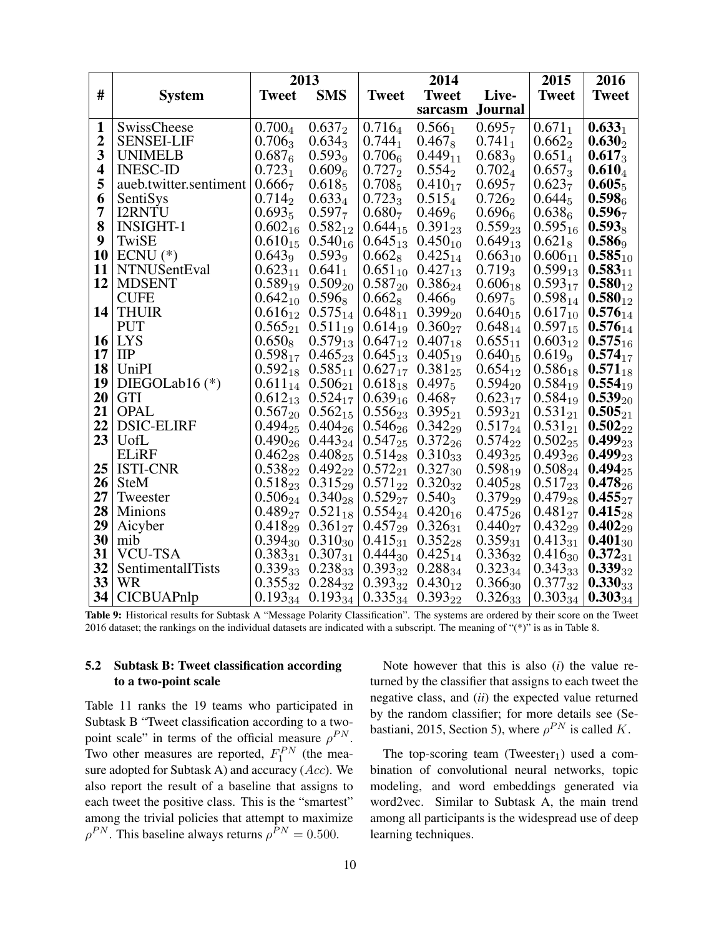|                         |                        |                    | 2013                      |                                 | 2014                      |                    | 2015               | 2016               |
|-------------------------|------------------------|--------------------|---------------------------|---------------------------------|---------------------------|--------------------|--------------------|--------------------|
| #                       | <b>System</b>          | <b>Tweet</b>       | <b>SMS</b>                | <b>Tweet</b>                    | <b>Tweet</b>              | Live-              | <b>Tweet</b>       | <b>Tweet</b>       |
|                         |                        |                    |                           |                                 | sarcasm                   | <b>Journal</b>     |                    |                    |
| $\mathbf{1}$            | SwissCheese            | $0.700_4$          | $0.637_2$                 | $0.716_4$                       | $0.566_1$                 | 0.695 <sub>7</sub> | $0.671_1$          | $0.633_1$          |
| $\overline{2}$          | <b>SENSEI-LIF</b>      | $0.706_3$          | $0.634_3$                 | $0.744_1$                       | $0.467_8$                 | $0.741_1$          | $0.662_2$          | $0.630_2$          |
| $\overline{\mathbf{3}}$ | <b>UNIMELB</b>         | 0.687 <sub>6</sub> | 0.593 <sub>9</sub>        | 0.7066                          | $0.449_{11}$              | 0.683 <sub>9</sub> | $0.651_4$          | $0.617_3$          |
| $\overline{\mathbf{4}}$ | <b>INESC-ID</b>        | $0.723_1$          | 0.609 <sub>6</sub>        | $0.727_2$                       | $0.554_{2}$               | $0.702_4$          | $0.657_3$          | $0.610_4$          |
| 5                       | aueb.twitter.sentiment | 0.666 <sub>7</sub> | $0.618_5$                 | $0.708_5$                       | $0.410_{17}$              | 0.695 <sub>7</sub> | 0.623 <sub>7</sub> | $0.605_5$          |
| 6                       | SentiSys               | $0.714_2$          | $0.633_4$                 | $0.723_3$                       | $0.515_4$                 | $0.726_2$          | $0.644_5$          | 0.598 <sub>6</sub> |
| $\overline{7}$          | <b>I2RNTU</b>          | $0.693_5$          | 0.597 <sub>7</sub>        | 0.680 <sub>7</sub>              | 0.469 <sub>6</sub>        | $0.696_{6}$        | 0.638 <sub>6</sub> | 0.596 <sub>7</sub> |
| 8                       | <b>INSIGHT-1</b>       | $0.602_{16}$       | $0.582_{12}$              | $0.644_{15}$                    | $0.391_{23}$              | $0.559_{23}$       | $0.595_{16}$       | $0.593_8$          |
| 9                       | TwiSE                  | $0.610_{15}$       | $0.540_{16}$              | $0.645_{13}$                    | $0.450_{10}$              | $0.649_{13}$       | $0.621_8$          | $0.586_9$          |
| 10                      | $ECNU$ (*)             | 0.643 <sub>9</sub> | 0.593 <sub>9</sub>        | $0.662_8$                       | $0.425_{14}$              | $0.663_{10}$       | $0.606_{11}$       | $0.585_{10}$       |
| 11                      | <b>NTNUSentEval</b>    | $0.623_{11}$       | $0.641_1$                 | $0.651_{10}$                    | $0.427_{13}$              | $0.719_3$          | $0.599_{13}$       | $0.583_{11}$       |
| 12                      | <b>MDSENT</b>          | $0.589_{19}$       | $0.509_{20}$              | $0.587_{20}$                    | $0.386_{24}$              | $0.606_{18}$       | $0.593_{17}$       | $0.580_{12}$       |
|                         | <b>CUFE</b>            | $0.642_{10}$       | $0.596_8$                 | $0.662_8$                       | $0.466$ <sup>9</sup>      | $0.697_5$          | $0.598_{14}$       | $0.580_{12}$       |
| 14                      | <b>THUIR</b>           | $0.616_{12}$       | $0.575_{14}$              | $0.648_{11}$                    | $0.399_{20}$              | $0.640_{15}$       | $0.617_{10}$       | $0.576_{14}$       |
|                         | <b>PUT</b>             | $0.565_{21}$       | $0.511_{19}$              | $0.614_{19}$                    | $0.360_{27}$              | $0.648_{14}$       | $0.597_{15}$       | $0.576_{14}$       |
| 16                      | <b>LYS</b>             | $0.650_8$          | $0.579_{13}$              | $0.647_{12}$                    | $0.407_{18}$              | $0.655_{11}$       | $0.603_{12}$       | $0.575_{16}$       |
| 17                      | <b>IIP</b>             | $0.598_{17}$       | $0.465_{23}$              | $0.645_{13}$                    | $0.405_{19}$              | $0.640_{15}$       | $0.619_9$          | $0.574_{17}$       |
| 18                      | UniPI                  |                    | $0.592_{18}$ $0.585_{11}$ |                                 | $0.627_{17}$ $0.381_{25}$ | $0.654_{12}$       | $0.586_{18}$       | $0.571_{18}$       |
| 19                      | DIEGOLab16 $(*)$       |                    | $0.611_{14}$ $0.506_{21}$ | $0.618_{18}$ 0.497 <sub>5</sub> |                           | $0.594_{20}$       | $0.584_{19}$       | $0.554_{19}$       |
| 20                      | <b>GTI</b>             |                    | $0.612_{13}$ $0.524_{17}$ | $0.639_{16}$ 0.468 <sub>7</sub> |                           | $0.623_{17}$       | $0.584_{19}$       | $0.539_{20}$       |
| 21                      | <b>OPAL</b>            |                    | $0.567_{20}$ $0.562_{15}$ |                                 | $0.556_{23}$ $0.395_{21}$ | $0.593_{21}$       | $0.531_{21}$       | $0.505_{21}$       |
| 22                      | <b>DSIC-ELIRF</b>      | $0.494_{25}$       | $0.404_{26}$              |                                 | $0.546_{26}$ $0.342_{29}$ | $0.517_{24}$       | $0.531_{21}$       | $0.502_{22}$       |
| 23                      | UofL                   |                    | $0.490_{26}$ $0.443_{24}$ |                                 | $0.547_{25}$ $0.372_{26}$ | $0.574_{22}$       | $0.502_{25}$       | $0.499_{23}$       |
|                         | <b>ELiRF</b>           |                    | $0.462_{28}$ $0.408_{25}$ |                                 | $0.514_{28}$ $0.310_{33}$ | $0.493_{25}$       | $0.493_{26}$       | $0.499_{23}$       |
| 25                      | <b>ISTI-CNR</b>        |                    | $0.538_{22}$ $0.492_{22}$ |                                 | $0.572_{21}$ $0.327_{30}$ | $0.598_{19}$       | $0.508_{24}$       | $0.494_{25}$       |
| 26                      | <b>SteM</b>            |                    | $0.518_{23}$ $0.315_{29}$ |                                 | $0.571_{22}$ $0.320_{32}$ | $0.405_{28}$       | $0.517_{23}$       | $0.478_{26}$       |
| 27                      | Tweester               |                    | $0.506_{24}$ $0.340_{28}$ | $0.529_{27}$ $0.540_{3}$        |                           | $0.379_{29}$       | $0.479_{28}$       | $0.455_{27}$       |
| 28                      | Minions                |                    | $0.489_{27}$ $0.521_{18}$ |                                 | $0.554_{24}$ $0.420_{16}$ | $0.475_{26}$       | $0.481_{27}$       | $0.415_{28}$       |
| 29                      | Aicyber                |                    | $0.418_{29}$ $0.361_{27}$ |                                 | $0.457_{29}$ $0.326_{31}$ | $0.440_{27}$       | $0.432_{29}$       | $0.402_{29}$       |
| 30                      | mib                    |                    | $0.394_{30}$ $0.310_{30}$ |                                 | $0.415_{31}$ $0.352_{28}$ | $0.359_{31}$       | $0.413_{31}$       | $0.401_{30}$       |
| 31                      | <b>VCU-TSA</b>         | $0.383_{31}$       | $0.307_{31}$              | $0.444_{30}$                    | $0.425_{14}$              | $0.336_{32}$       | $0.416_{30}$       | $0.372_{31}$       |
| 32                      | SentimentalITists      | $0.339_{33}$       | $0.238_{33}$              | $0.393_{32}$                    | $0.288_{34}$              | $0.323_{34}$       | $0.343_{33}$       | $0.339_{32}$       |
| 33                      | WR                     |                    | $0.355_{32}$ $0.284_{32}$ | $0.393_{32}$                    | $0.430_{12}$              | $0.366_{30}$       | $0.377_{32}$       | $0.330_{33}$       |
| 34                      | <b>CICBUAPnlp</b>      |                    | $0.193_{34}$ $0.193_{34}$ |                                 | $0.335_{34}$ $0.393_{22}$ | $0.326_{33}$       | $0.303_{34}$       | $0.303_{34}$       |

Table 9: Historical results for Subtask A "Message Polarity Classification". The systems are ordered by their score on the Tweet 2016 dataset; the rankings on the individual datasets are indicated with a subscript. The meaning of "(\*)" is as in Table 8.

## 5.2 Subtask B: Tweet classification according to a two-point scale

Table 11 ranks the 19 teams who participated in Subtask B "Tweet classification according to a twopoint scale" in terms of the official measure  $\rho^{PN}$ . Two other measures are reported,  $F_1^{PN}$  (the measure adopted for Subtask A) and accuracy  $(Acc)$ . We also report the result of a baseline that assigns to each tweet the positive class. This is the "smartest" among the trivial policies that attempt to maximize  $\rho^{PN}$ . This baseline always returns  $\rho^{PN} = 0.500$ .

Note however that this is also (*i*) the value returned by the classifier that assigns to each tweet the negative class, and (*ii*) the expected value returned by the random classifier; for more details see (Sebastiani, 2015, Section 5), where  $\rho^{PN}$  is called K.

The top-scoring team (Tweester $_1$ ) used a combination of convolutional neural networks, topic modeling, and word embeddings generated via word2vec. Similar to Subtask A, the main trend among all participants is the widespread use of deep learning techniques.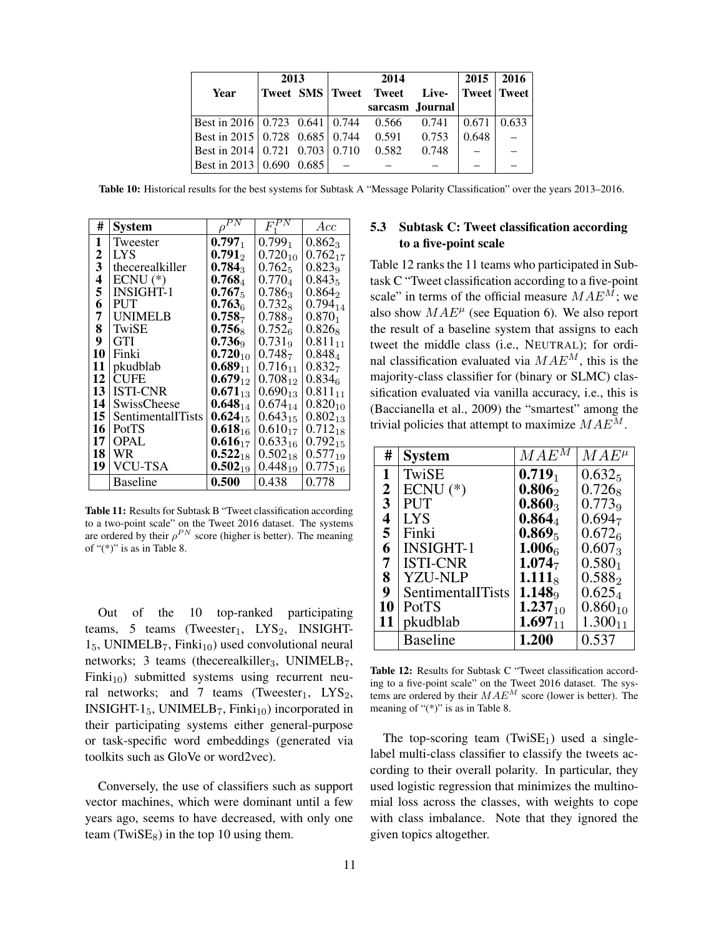|                                                    | 2013 |  | 2014                                    | 2015            | <b>2016</b> |       |
|----------------------------------------------------|------|--|-----------------------------------------|-----------------|-------------|-------|
| Year                                               |      |  | Tweet SMS Tweet Tweet Live- Tweet Tweet |                 |             |       |
|                                                    |      |  |                                         | sarcasm Journal |             |       |
| Best in 2016   0.723 0.641   0.744 0.566 0.741     |      |  |                                         |                 | $\pm 0.671$ | 0.633 |
| Best in 2015   0.728 0.685   0.744 0.591 0.753     |      |  |                                         |                 | 0.648       |       |
| Best in 2014   0.721 $\,$ 0.703   0.710 $\,$ 0.582 |      |  |                                         | 0.748           |             |       |
| Best in 2013   0.690 0.685                         |      |  |                                         |                 |             |       |

Table 10: Historical results for the best systems for Subtask A "Message Polarity Classification" over the years 2013–2016.

| #  | <b>System</b>          |                      | $F^{P\bar{N}}$     | Acc                |
|----|------------------------|----------------------|--------------------|--------------------|
| 1  | Tweester               | $0.797_1$            | $0.799_1$          | $0.862_3$          |
| 2  | <b>LYS</b>             | $0.791_2$            | $0.720_{10}$       | $0.762_{17}$       |
| 3  | thecerealkiller        | $0.784_3$            | $0.762_5$          | 0.823 <sub>9</sub> |
| 4  | $ECNU$ (*)             | $\mathbf{0.768}_{4}$ | $0.770_4$          | $0.843_5$          |
| 5  | <b>INSIGHT-1</b>       | $0.767_5$            | $0.786_3$          | $0.864_2$          |
| 6  | <b>PUT</b>             | $0.763_{6}$          | $0.732_8$          | $0.794_{14}$       |
| 7  | <b>UNIMELB</b>         | $0.758_{7}$          | $0.788_{2}$        | $0.870_1$          |
| 8  | TwiSE                  | $0.756_8$            | $0.752_{6}$        | $0.826_8$          |
| 9  | <b>GTI</b>             | $0.736_9$            | 0.731 <sub>9</sub> | $0.811_{11}$       |
| 10 | Finki                  | $0.720_{10}$         | $0.748_{7}$        | $0.848_4$          |
| 11 | pkudblab               | $0.689_{11}$         | $0.716_{11}$       | 0.832 <sub>7</sub> |
|    | $12$ CUFE              | $0.679_{12}$         | $0.708_{12}$       | $0.834_{6}$        |
|    | 13 ISTI-CNR            | $0.671_{13}$         | $0.690_{13}$       | $0.811_{11}$       |
|    | 14 SwissCheese         | $0.648_{14}$         | $0.674_{14}$       | $0.820_{10}$       |
|    | 15   SentimentallTists | $0.624_{15}$         | $0.643_{15}$       | $0.802_{13}$       |
|    | $16$ PotTS             | $0.618_{16}$         | $0.610_{17}$       | $0.712_{18}$       |
| 17 | <b>OPAL</b>            | $0.616_{17}$         | $0.633_{16}$       | $0.792_{15}$       |
|    | 18   WR                | $0.522_{18}$         | $0.502_{18}$       | $0.577_{19}$       |
| 19 | <b>VCU-TSA</b>         | $0.502_{19}$         | $0.448_{19}$       | $0.775_{16}$       |
|    | <b>Baseline</b>        | 0.500                | 0.438              | 0.778              |

Table 11: Results for Subtask B "Tweet classification according to a two-point scale" on the Tweet 2016 dataset. The systems are ordered by their  $\rho^{PN}$  score (higher is better). The meaning of "(\*)" is as in Table 8.

Out of the 10 top-ranked participating teams, 5 teams (Tweester<sub>1</sub>, LYS<sub>2</sub>, INSIGHT- $1_5$ , UNIMELB<sub>7</sub>, Finki<sub>10</sub>) used convolutional neural networks; 3 teams (thecerealkiller<sub>3</sub>, UNIMELB<sub>7</sub>,  $Finki<sub>10</sub>$ ) submitted systems using recurrent neural networks; and 7 teams (Tweester<sub>1</sub>,  $LYS_2$ , INSIGHT-1 $_5$ , UNIMELB<sub>7</sub>, Finki<sub>10</sub>) incorporated in their participating systems either general-purpose or task-specific word embeddings (generated via toolkits such as GloVe or word2vec).

Conversely, the use of classifiers such as support vector machines, which were dominant until a few years ago, seems to have decreased, with only one team (TwiSE $_8$ ) in the top 10 using them.

## 5.3 Subtask C: Tweet classification according to a five-point scale

Table 12 ranks the 11 teams who participated in Subtask C "Tweet classification according to a five-point scale" in terms of the official measure  $MAE^M$ ; we also show  $MAE^{\mu}$  (see Equation 6). We also report the result of a baseline system that assigns to each tweet the middle class (i.e., NEUTRAL); for ordinal classification evaluated via  $MAE<sup>M</sup>$ , this is the majority-class classifier for (binary or SLMC) classification evaluated via vanilla accuracy, i.e., this is (Baccianella et al., 2009) the "smartest" among the trivial policies that attempt to maximize  $MAE<sup>M</sup>$ .

| #                       | <b>System</b>     | $MAE^{M}$          | $MAE^{\mu}$        |
|-------------------------|-------------------|--------------------|--------------------|
| 1                       | TwiSE             | $0.719_1$          | $0.632_5$          |
| $\overline{2}$          | $ECNU$ (*)        | $0.806_2$          | $0.726_8$          |
| $\mathbf{3}$            | <b>PUT</b>        | $0.860_3$          | $0.773_9$          |
| $\overline{\mathbf{4}}$ | <b>LYS</b>        | $0.864_4$          | 0.694 <sub>7</sub> |
| 5                       | Finki             | $0.869_5$          | $0.672_{6}$        |
| 6                       | <b>INSIGHT-1</b>  | 1.0066             | $0.607_3$          |
| 7                       | <b>ISTI-CNR</b>   | 1.074 <sub>7</sub> | $0.580_1$          |
| 8                       | <b>YZU-NLP</b>    | $1.111_8$          | $0.588_2$          |
| 9                       | SentimentalITists | 1.148 <sub>9</sub> | $0.625_4$          |
| 10                      | PotTS             | $1.237_{10}$       | $0.860_{10}$       |
| 11                      | pkudblab          | $1.697_{11}$       | $1.300_{11}$       |
|                         | <b>Baseline</b>   | 1.200              | 0.537              |

Table 12: Results for Subtask C "Tweet classification according to a five-point scale" on the Tweet 2016 dataset. The systems are ordered by their  $MAE^M$  score (lower is better). The meaning of "(\*)" is as in Table 8.

The top-scoring team  $(TwiSE<sub>1</sub>)$  used a singlelabel multi-class classifier to classify the tweets according to their overall polarity. In particular, they used logistic regression that minimizes the multinomial loss across the classes, with weights to cope with class imbalance. Note that they ignored the given topics altogether.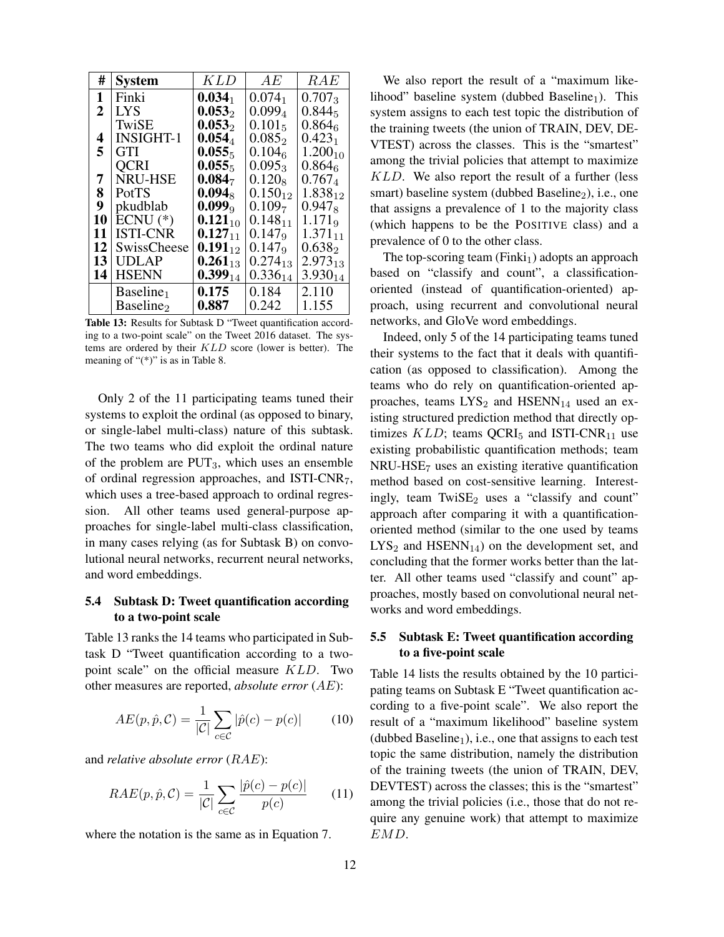| #               | <b>System</b>         | KLD          | AE                 | RAE                |
|-----------------|-----------------------|--------------|--------------------|--------------------|
| 1               | Finki                 | $0.034_1$    | $0.074_1$          | $0.707_3$          |
| 2               | LYS                   | $0.053_2$    | $0.099_4$          | $0.844_5$          |
|                 | TwiSE                 | $0.053_2$    | $0.101_5$          | $0.864_{6}$        |
| 4               | INSIGHT-1             | $0.054_4$    | $0.085_{2}$        | $0.423_1$          |
| 5               | GTI                   | $0.055_5$    | 0.104 <sub>6</sub> | $1.200_{10}$       |
|                 | <b>QCRI</b>           | $0.055_5$    | $0.095_3$          | $0.864_{6}$        |
| 7               | NRU-HSE               | $0.084_7$    | $0.120_8$          | $0.767_4$          |
| 8               | PotTS                 | $0.094_8$    | $0.150_{12}$       | $1.838_{12}$       |
| 9               | pkudblab              | $0.099_9$    | 0.109 <sub>7</sub> | $0.947_8$          |
| 10              | $ECNU$ (*)            | $0.121_{10}$ | $0.148_{11}$       | 1.171 <sub>9</sub> |
| 11              | <b>ISTI-CNR</b>       | $0.127_{11}$ | 0.147 <sub>9</sub> | $1.371_{11}$       |
| 12              | SwissCheese           | $0.191_{12}$ | 0.147 <sub>9</sub> | $0.638_{2}$        |
| 13 <sup>1</sup> | <b>UDLAP</b>          | $0.261_{13}$ | $0.274_{13}$       | $2.973_{13}$       |
| 14              | <b>HSENN</b>          | $0.399_{14}$ | $0.336_{14}$       | $3.930_{14}$       |
|                 | Baseline <sub>1</sub> | 0.175        | 0.184              | 2.110              |
|                 | Baseline <sub>2</sub> | 0.887        | 0.242              | 1.155              |

Table 13: Results for Subtask D "Tweet quantification according to a two-point scale" on the Tweet 2016 dataset. The systems are ordered by their KLD score (lower is better). The meaning of " $(*)$ " is as in Table 8.

Only 2 of the 11 participating teams tuned their systems to exploit the ordinal (as opposed to binary, or single-label multi-class) nature of this subtask. The two teams who did exploit the ordinal nature of the problem are  $PUT_3$ , which uses an ensemble of ordinal regression approaches, and ISTI-CNR7, which uses a tree-based approach to ordinal regression. All other teams used general-purpose approaches for single-label multi-class classification, in many cases relying (as for Subtask B) on convolutional neural networks, recurrent neural networks, and word embeddings.

## 5.4 Subtask D: Tweet quantification according to a two-point scale

Table 13 ranks the 14 teams who participated in Subtask D "Tweet quantification according to a twopoint scale" on the official measure KLD. Two other measures are reported, *absolute error* (AE):

$$
AE(p, \hat{p}, \mathcal{C}) = \frac{1}{|\mathcal{C}|} \sum_{c \in \mathcal{C}} |\hat{p}(c) - p(c)| \tag{10}
$$

and *relative absolute error* (RAE):

$$
RAE(p, \hat{p}, \mathcal{C}) = \frac{1}{|\mathcal{C}|} \sum_{c \in \mathcal{C}} \frac{|\hat{p}(c) - p(c)|}{p(c)} \qquad (11)
$$

where the notation is the same as in Equation 7.

We also report the result of a "maximum likelihood" baseline system (dubbed Baseline<sub>1</sub>). This system assigns to each test topic the distribution of the training tweets (the union of TRAIN, DEV, DE-VTEST) across the classes. This is the "smartest" among the trivial policies that attempt to maximize KLD. We also report the result of a further (less smart) baseline system (dubbed Baseline $_2$ ), i.e., one that assigns a prevalence of 1 to the majority class (which happens to be the POSITIVE class) and a prevalence of 0 to the other class.

The top-scoring team  $(Finki<sub>1</sub>)$  adopts an approach based on "classify and count", a classificationoriented (instead of quantification-oriented) approach, using recurrent and convolutional neural networks, and GloVe word embeddings.

Indeed, only 5 of the 14 participating teams tuned their systems to the fact that it deals with quantification (as opposed to classification). Among the teams who do rely on quantification-oriented approaches, teams  $LYS_2$  and  $HSENN_{14}$  used an existing structured prediction method that directly optimizes  $KLD$ ; teams QCRI<sub>5</sub> and ISTI-CNR<sub>11</sub> use existing probabilistic quantification methods; team NRU-HSE<sup>7</sup> uses an existing iterative quantification method based on cost-sensitive learning. Interestingly, team  $TwiSE<sub>2</sub>$  uses a "classify and count" approach after comparing it with a quantificationoriented method (similar to the one used by teams  $LYS<sub>2</sub>$  and  $HSENN<sub>14</sub>$ ) on the development set, and concluding that the former works better than the latter. All other teams used "classify and count" approaches, mostly based on convolutional neural networks and word embeddings.

# 5.5 Subtask E: Tweet quantification according to a five-point scale

Table 14 lists the results obtained by the 10 participating teams on Subtask E "Tweet quantification according to a five-point scale". We also report the result of a "maximum likelihood" baseline system (dubbed Baseline<sub>1</sub>), i.e., one that assigns to each test topic the same distribution, namely the distribution of the training tweets (the union of TRAIN, DEV, DEVTEST) across the classes; this is the "smartest" among the trivial policies (i.e., those that do not require any genuine work) that attempt to maximize EMD.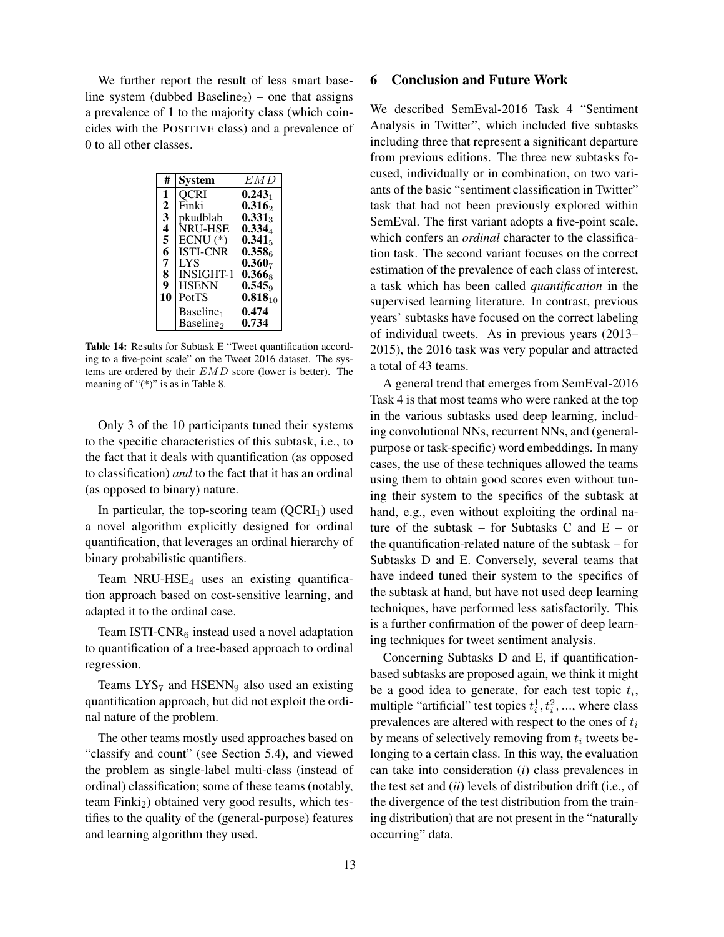We further report the result of less smart baseline system (dubbed Baseline<sub>2</sub>) – one that assigns a prevalence of 1 to the majority class (which coincides with the POSITIVE class) and a prevalence of 0 to all other classes.

| #            | System                | E M D              |
|--------------|-----------------------|--------------------|
| 1            | <b>QCRI</b>           | $0.243_1$          |
| $\mathbf{2}$ | Finki                 | $0.316_2$          |
| 3            | pkudblab              | $0.331_3$          |
| 4            | <b>NRU-HSE</b>        | 0.334 <sub>4</sub> |
| 5            | $ECNU$ (*)            | $0.341_5$          |
| 6            | <b>ISTI-CNR</b>       | 0.358 <sub>6</sub> |
| 7            | LYS                   | $0.360_7$          |
| 8            | <b>INSIGHT-1</b>      | $0.366_8$          |
| 9            | <b>HSENN</b>          | 0.545              |
| 10           | PotTS                 | $0.818_{10}$       |
|              | Baseline <sub>1</sub> | 0.474              |
|              | Baseline <sub>2</sub> | 0.734              |

Table 14: Results for Subtask E "Tweet quantification according to a five-point scale" on the Tweet 2016 dataset. The systems are ordered by their EMD score (lower is better). The meaning of " $(*)$ " is as in Table 8.

Only 3 of the 10 participants tuned their systems to the specific characteristics of this subtask, i.e., to the fact that it deals with quantification (as opposed to classification) *and* to the fact that it has an ordinal (as opposed to binary) nature.

In particular, the top-scoring team  $(QCRI<sub>1</sub>)$  used a novel algorithm explicitly designed for ordinal quantification, that leverages an ordinal hierarchy of binary probabilistic quantifiers.

Team NRU-HSE<sub>4</sub> uses an existing quantification approach based on cost-sensitive learning, and adapted it to the ordinal case.

Team ISTI-CNR $<sub>6</sub>$  instead used a novel adaptation</sub> to quantification of a tree-based approach to ordinal regression.

Teams  $LYS<sub>7</sub>$  and HSENN<sub>9</sub> also used an existing quantification approach, but did not exploit the ordinal nature of the problem.

The other teams mostly used approaches based on "classify and count" (see Section 5.4), and viewed the problem as single-label multi-class (instead of ordinal) classification; some of these teams (notably, team  $Finki<sub>2</sub>$ ) obtained very good results, which testifies to the quality of the (general-purpose) features and learning algorithm they used.

## 6 Conclusion and Future Work

We described SemEval-2016 Task 4 "Sentiment Analysis in Twitter", which included five subtasks including three that represent a significant departure from previous editions. The three new subtasks focused, individually or in combination, on two variants of the basic "sentiment classification in Twitter" task that had not been previously explored within SemEval. The first variant adopts a five-point scale, which confers an *ordinal* character to the classification task. The second variant focuses on the correct estimation of the prevalence of each class of interest, a task which has been called *quantification* in the supervised learning literature. In contrast, previous years' subtasks have focused on the correct labeling of individual tweets. As in previous years (2013– 2015), the 2016 task was very popular and attracted a total of 43 teams.

A general trend that emerges from SemEval-2016 Task 4 is that most teams who were ranked at the top in the various subtasks used deep learning, including convolutional NNs, recurrent NNs, and (generalpurpose or task-specific) word embeddings. In many cases, the use of these techniques allowed the teams using them to obtain good scores even without tuning their system to the specifics of the subtask at hand, e.g., even without exploiting the ordinal nature of the subtask – for Subtasks C and  $E - or$ the quantification-related nature of the subtask – for Subtasks D and E. Conversely, several teams that have indeed tuned their system to the specifics of the subtask at hand, but have not used deep learning techniques, have performed less satisfactorily. This is a further confirmation of the power of deep learning techniques for tweet sentiment analysis.

Concerning Subtasks D and E, if quantificationbased subtasks are proposed again, we think it might be a good idea to generate, for each test topic  $t_i$ , multiple "artificial" test topics  $t_i^1, t_i^2, \dots$ , where class prevalences are altered with respect to the ones of  $t_i$ by means of selectively removing from  $t_i$  tweets belonging to a certain class. In this way, the evaluation can take into consideration (*i*) class prevalences in the test set and (*ii*) levels of distribution drift (i.e., of the divergence of the test distribution from the training distribution) that are not present in the "naturally occurring" data.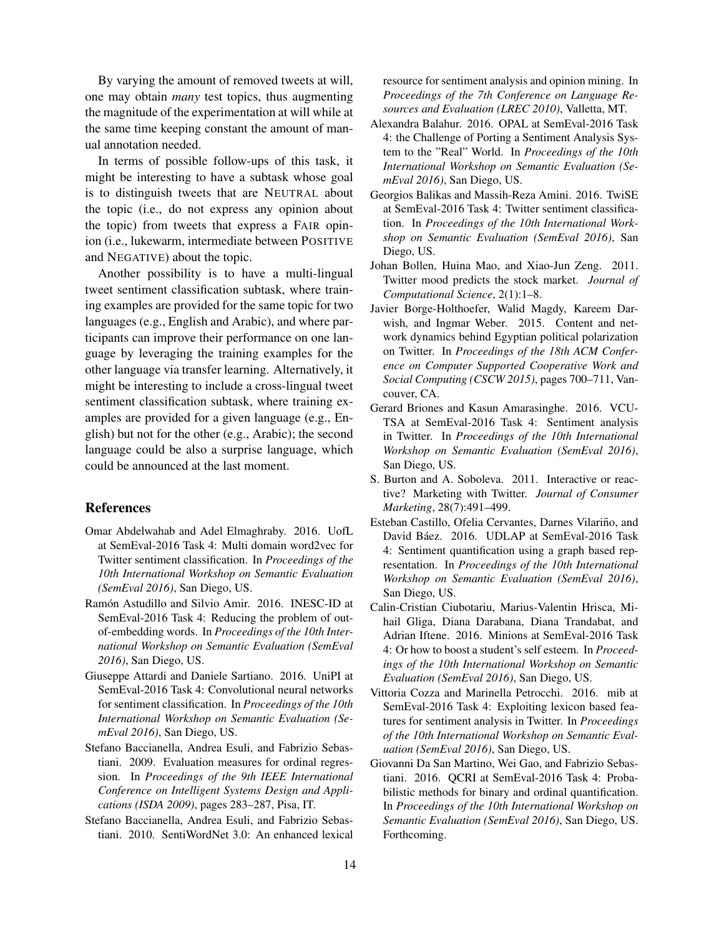By varying the amount of removed tweets at will, one may obtain *many* test topics, thus augmenting the magnitude of the experimentation at will while at the same time keeping constant the amount of manual annotation needed.

In terms of possible follow-ups of this task, it might be interesting to have a subtask whose goal is to distinguish tweets that are NEUTRAL about the topic (i.e., do not express any opinion about the topic) from tweets that express a FAIR opinion (i.e., lukewarm, intermediate between POSITIVE and NEGATIVE) about the topic.

Another possibility is to have a multi-lingual tweet sentiment classification subtask, where training examples are provided for the same topic for two languages (e.g., English and Arabic), and where participants can improve their performance on one language by leveraging the training examples for the other language via transfer learning. Alternatively, it might be interesting to include a cross-lingual tweet sentiment classification subtask, where training examples are provided for a given language (e.g., English) but not for the other (e.g., Arabic); the second language could be also a surprise language, which could be announced at the last moment.

## References

- Omar Abdelwahab and Adel Elmaghraby. 2016. UofL at SemEval-2016 Task 4: Multi domain word2vec for Twitter sentiment classification. In *Proceedings of the 10th International Workshop on Semantic Evaluation (SemEval 2016)*, San Diego, US.
- Ramón Astudillo and Silvio Amir. 2016. INESC-ID at SemEval-2016 Task 4: Reducing the problem of outof-embedding words. In *Proceedings of the 10th International Workshop on Semantic Evaluation (SemEval 2016)*, San Diego, US.
- Giuseppe Attardi and Daniele Sartiano. 2016. UniPI at SemEval-2016 Task 4: Convolutional neural networks for sentiment classification. In *Proceedings of the 10th International Workshop on Semantic Evaluation (SemEval 2016)*, San Diego, US.
- Stefano Baccianella, Andrea Esuli, and Fabrizio Sebastiani. 2009. Evaluation measures for ordinal regression. In *Proceedings of the 9th IEEE International Conference on Intelligent Systems Design and Applications (ISDA 2009)*, pages 283–287, Pisa, IT.
- Stefano Baccianella, Andrea Esuli, and Fabrizio Sebastiani. 2010. SentiWordNet 3.0: An enhanced lexical

resource for sentiment analysis and opinion mining. In *Proceedings of the 7th Conference on Language Resources and Evaluation (LREC 2010)*, Valletta, MT.

- Alexandra Balahur. 2016. OPAL at SemEval-2016 Task 4: the Challenge of Porting a Sentiment Analysis System to the "Real" World. In *Proceedings of the 10th International Workshop on Semantic Evaluation (SemEval 2016)*, San Diego, US.
- Georgios Balikas and Massih-Reza Amini. 2016. TwiSE at SemEval-2016 Task 4: Twitter sentiment classification. In *Proceedings of the 10th International Workshop on Semantic Evaluation (SemEval 2016)*, San Diego, US.
- Johan Bollen, Huina Mao, and Xiao-Jun Zeng. 2011. Twitter mood predicts the stock market. *Journal of Computational Science*, 2(1):1–8.
- Javier Borge-Holthoefer, Walid Magdy, Kareem Darwish, and Ingmar Weber. 2015. Content and network dynamics behind Egyptian political polarization on Twitter. In *Proceedings of the 18th ACM Conference on Computer Supported Cooperative Work and Social Computing (CSCW 2015)*, pages 700–711, Vancouver, CA.
- Gerard Briones and Kasun Amarasinghe. 2016. VCU-TSA at SemEval-2016 Task 4: Sentiment analysis in Twitter. In *Proceedings of the 10th International Workshop on Semantic Evaluation (SemEval 2016)*, San Diego, US.
- S. Burton and A. Soboleva. 2011. Interactive or reactive? Marketing with Twitter. *Journal of Consumer Marketing*, 28(7):491–499.
- Esteban Castillo, Ofelia Cervantes, Darnes Vilariño, and David Báez. 2016. UDLAP at SemEval-2016 Task 4: Sentiment quantification using a graph based representation. In *Proceedings of the 10th International Workshop on Semantic Evaluation (SemEval 2016)*, San Diego, US.
- Calin-Cristian Ciubotariu, Marius-Valentin Hrisca, Mihail Gliga, Diana Darabana, Diana Trandabat, and Adrian Iftene. 2016. Minions at SemEval-2016 Task 4: Or how to boost a student's self esteem. In *Proceedings of the 10th International Workshop on Semantic Evaluation (SemEval 2016)*, San Diego, US.
- Vittoria Cozza and Marinella Petrocchi. 2016. mib at SemEval-2016 Task 4: Exploiting lexicon based features for sentiment analysis in Twitter. In *Proceedings of the 10th International Workshop on Semantic Evaluation (SemEval 2016)*, San Diego, US.
- Giovanni Da San Martino, Wei Gao, and Fabrizio Sebastiani. 2016. QCRI at SemEval-2016 Task 4: Probabilistic methods for binary and ordinal quantification. In *Proceedings of the 10th International Workshop on Semantic Evaluation (SemEval 2016)*, San Diego, US. Forthcoming.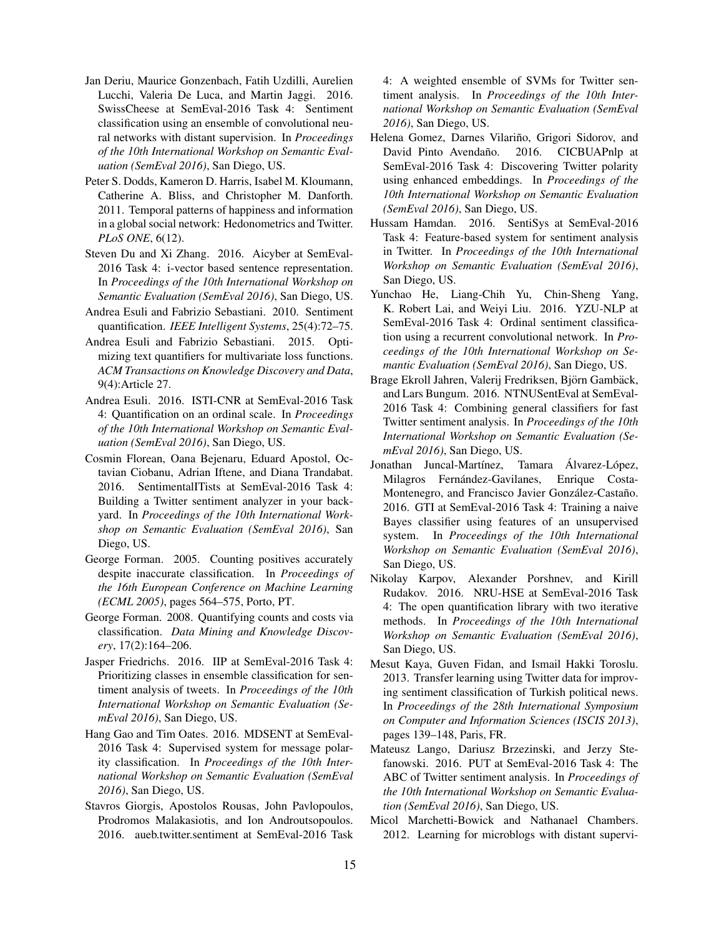- Jan Deriu, Maurice Gonzenbach, Fatih Uzdilli, Aurelien Lucchi, Valeria De Luca, and Martin Jaggi. 2016. SwissCheese at SemEval-2016 Task 4: Sentiment classification using an ensemble of convolutional neural networks with distant supervision. In *Proceedings of the 10th International Workshop on Semantic Evaluation (SemEval 2016)*, San Diego, US.
- Peter S. Dodds, Kameron D. Harris, Isabel M. Kloumann, Catherine A. Bliss, and Christopher M. Danforth. 2011. Temporal patterns of happiness and information in a global social network: Hedonometrics and Twitter. *PLoS ONE*, 6(12).
- Steven Du and Xi Zhang. 2016. Aicyber at SemEval-2016 Task 4: i-vector based sentence representation. In *Proceedings of the 10th International Workshop on Semantic Evaluation (SemEval 2016)*, San Diego, US.
- Andrea Esuli and Fabrizio Sebastiani. 2010. Sentiment quantification. *IEEE Intelligent Systems*, 25(4):72–75.
- Andrea Esuli and Fabrizio Sebastiani. 2015. Optimizing text quantifiers for multivariate loss functions. *ACM Transactions on Knowledge Discovery and Data*, 9(4):Article 27.
- Andrea Esuli. 2016. ISTI-CNR at SemEval-2016 Task 4: Quantification on an ordinal scale. In *Proceedings of the 10th International Workshop on Semantic Evaluation (SemEval 2016)*, San Diego, US.
- Cosmin Florean, Oana Bejenaru, Eduard Apostol, Octavian Ciobanu, Adrian Iftene, and Diana Trandabat. 2016. SentimentalITists at SemEval-2016 Task 4: Building a Twitter sentiment analyzer in your backyard. In *Proceedings of the 10th International Workshop on Semantic Evaluation (SemEval 2016)*, San Diego, US.
- George Forman. 2005. Counting positives accurately despite inaccurate classification. In *Proceedings of the 16th European Conference on Machine Learning (ECML 2005)*, pages 564–575, Porto, PT.
- George Forman. 2008. Quantifying counts and costs via classification. *Data Mining and Knowledge Discovery*, 17(2):164–206.
- Jasper Friedrichs. 2016. IIP at SemEval-2016 Task 4: Prioritizing classes in ensemble classification for sentiment analysis of tweets. In *Proceedings of the 10th International Workshop on Semantic Evaluation (SemEval 2016)*, San Diego, US.
- Hang Gao and Tim Oates. 2016. MDSENT at SemEval-2016 Task 4: Supervised system for message polarity classification. In *Proceedings of the 10th International Workshop on Semantic Evaluation (SemEval 2016)*, San Diego, US.
- Stavros Giorgis, Apostolos Rousas, John Pavlopoulos, Prodromos Malakasiotis, and Ion Androutsopoulos. 2016. aueb.twitter.sentiment at SemEval-2016 Task

4: A weighted ensemble of SVMs for Twitter sentiment analysis. In *Proceedings of the 10th International Workshop on Semantic Evaluation (SemEval 2016)*, San Diego, US.

- Helena Gomez, Darnes Vilariño, Grigori Sidorov, and David Pinto Avendaño. 2016. CICBUAPnlp at SemEval-2016 Task 4: Discovering Twitter polarity using enhanced embeddings. In *Proceedings of the 10th International Workshop on Semantic Evaluation (SemEval 2016)*, San Diego, US.
- Hussam Hamdan. 2016. SentiSys at SemEval-2016 Task 4: Feature-based system for sentiment analysis in Twitter. In *Proceedings of the 10th International Workshop on Semantic Evaluation (SemEval 2016)*, San Diego, US.
- Yunchao He, Liang-Chih Yu, Chin-Sheng Yang, K. Robert Lai, and Weiyi Liu. 2016. YZU-NLP at SemEval-2016 Task 4: Ordinal sentiment classification using a recurrent convolutional network. In *Proceedings of the 10th International Workshop on Semantic Evaluation (SemEval 2016)*, San Diego, US.
- Brage Ekroll Jahren, Valerij Fredriksen, Björn Gambäck, and Lars Bungum. 2016. NTNUSentEval at SemEval-2016 Task 4: Combining general classifiers for fast Twitter sentiment analysis. In *Proceedings of the 10th International Workshop on Semantic Evaluation (SemEval 2016)*, San Diego, US.
- Jonathan Juncal-Martínez, Tamara Álvarez-López, Milagros Fernández-Gavilanes, Enrique Costa-Montenegro, and Francisco Javier González-Castaño. 2016. GTI at SemEval-2016 Task 4: Training a naive Bayes classifier using features of an unsupervised system. In *Proceedings of the 10th International Workshop on Semantic Evaluation (SemEval 2016)*, San Diego, US.
- Nikolay Karpov, Alexander Porshnev, and Kirill Rudakov. 2016. NRU-HSE at SemEval-2016 Task 4: The open quantification library with two iterative methods. In *Proceedings of the 10th International Workshop on Semantic Evaluation (SemEval 2016)*, San Diego, US.
- Mesut Kaya, Guven Fidan, and Ismail Hakki Toroslu. 2013. Transfer learning using Twitter data for improving sentiment classification of Turkish political news. In *Proceedings of the 28th International Symposium on Computer and Information Sciences (ISCIS 2013)*, pages 139–148, Paris, FR.
- Mateusz Lango, Dariusz Brzezinski, and Jerzy Stefanowski. 2016. PUT at SemEval-2016 Task 4: The ABC of Twitter sentiment analysis. In *Proceedings of the 10th International Workshop on Semantic Evaluation (SemEval 2016)*, San Diego, US.
- Micol Marchetti-Bowick and Nathanael Chambers. 2012. Learning for microblogs with distant supervi-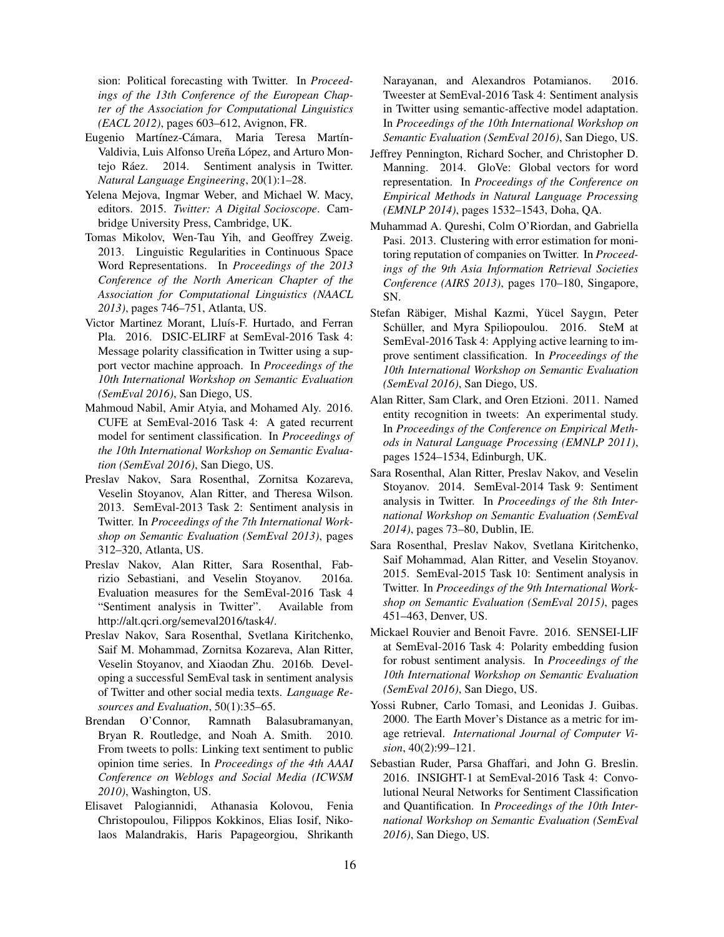sion: Political forecasting with Twitter. In *Proceedings of the 13th Conference of the European Chapter of the Association for Computational Linguistics (EACL 2012)*, pages 603–612, Avignon, FR.

- Eugenio Martínez-Cámara, Maria Teresa Martín-Valdivia, Luis Alfonso Ureña López, and Arturo Montejo Ráez. 2014. Sentiment analysis in Twitter. *Natural Language Engineering*, 20(1):1–28.
- Yelena Mejova, Ingmar Weber, and Michael W. Macy, editors. 2015. *Twitter: A Digital Socioscope*. Cambridge University Press, Cambridge, UK.
- Tomas Mikolov, Wen-Tau Yih, and Geoffrey Zweig. 2013. Linguistic Regularities in Continuous Space Word Representations. In *Proceedings of the 2013 Conference of the North American Chapter of the Association for Computational Linguistics (NAACL 2013)*, pages 746–751, Atlanta, US.
- Victor Martinez Morant, Lluís-F. Hurtado, and Ferran Pla. 2016. DSIC-ELIRF at SemEval-2016 Task 4: Message polarity classification in Twitter using a support vector machine approach. In *Proceedings of the 10th International Workshop on Semantic Evaluation (SemEval 2016)*, San Diego, US.
- Mahmoud Nabil, Amir Atyia, and Mohamed Aly. 2016. CUFE at SemEval-2016 Task 4: A gated recurrent model for sentiment classification. In *Proceedings of the 10th International Workshop on Semantic Evaluation (SemEval 2016)*, San Diego, US.
- Preslav Nakov, Sara Rosenthal, Zornitsa Kozareva, Veselin Stoyanov, Alan Ritter, and Theresa Wilson. 2013. SemEval-2013 Task 2: Sentiment analysis in Twitter. In *Proceedings of the 7th International Workshop on Semantic Evaluation (SemEval 2013)*, pages 312–320, Atlanta, US.
- Preslav Nakov, Alan Ritter, Sara Rosenthal, Fabrizio Sebastiani, and Veselin Stoyanov. 2016a. Evaluation measures for the SemEval-2016 Task 4 "Sentiment analysis in Twitter". Available from http://alt.qcri.org/semeval2016/task4/.
- Preslav Nakov, Sara Rosenthal, Svetlana Kiritchenko, Saif M. Mohammad, Zornitsa Kozareva, Alan Ritter, Veselin Stoyanov, and Xiaodan Zhu. 2016b. Developing a successful SemEval task in sentiment analysis of Twitter and other social media texts. *Language Resources and Evaluation*, 50(1):35–65.
- Brendan O'Connor, Ramnath Balasubramanyan, Bryan R. Routledge, and Noah A. Smith. 2010. From tweets to polls: Linking text sentiment to public opinion time series. In *Proceedings of the 4th AAAI Conference on Weblogs and Social Media (ICWSM 2010)*, Washington, US.
- Elisavet Palogiannidi, Athanasia Kolovou, Fenia Christopoulou, Filippos Kokkinos, Elias Iosif, Nikolaos Malandrakis, Haris Papageorgiou, Shrikanth

Narayanan, and Alexandros Potamianos. 2016. Tweester at SemEval-2016 Task 4: Sentiment analysis in Twitter using semantic-affective model adaptation. In *Proceedings of the 10th International Workshop on Semantic Evaluation (SemEval 2016)*, San Diego, US.

- Jeffrey Pennington, Richard Socher, and Christopher D. Manning. 2014. GloVe: Global vectors for word representation. In *Proceedings of the Conference on Empirical Methods in Natural Language Processing (EMNLP 2014)*, pages 1532–1543, Doha, QA.
- Muhammad A. Qureshi, Colm O'Riordan, and Gabriella Pasi. 2013. Clustering with error estimation for monitoring reputation of companies on Twitter. In *Proceedings of the 9th Asia Information Retrieval Societies Conference (AIRS 2013)*, pages 170–180, Singapore, SN.
- Stefan Räbiger, Mishal Kazmi, Yücel Saygın, Peter Schüller, and Myra Spiliopoulou. 2016. SteM at SemEval-2016 Task 4: Applying active learning to improve sentiment classification. In *Proceedings of the 10th International Workshop on Semantic Evaluation (SemEval 2016)*, San Diego, US.
- Alan Ritter, Sam Clark, and Oren Etzioni. 2011. Named entity recognition in tweets: An experimental study. In *Proceedings of the Conference on Empirical Methods in Natural Language Processing (EMNLP 2011)*, pages 1524–1534, Edinburgh, UK.
- Sara Rosenthal, Alan Ritter, Preslav Nakov, and Veselin Stoyanov. 2014. SemEval-2014 Task 9: Sentiment analysis in Twitter. In *Proceedings of the 8th International Workshop on Semantic Evaluation (SemEval 2014)*, pages 73–80, Dublin, IE.
- Sara Rosenthal, Preslav Nakov, Svetlana Kiritchenko, Saif Mohammad, Alan Ritter, and Veselin Stoyanov. 2015. SemEval-2015 Task 10: Sentiment analysis in Twitter. In *Proceedings of the 9th International Workshop on Semantic Evaluation (SemEval 2015)*, pages 451–463, Denver, US.
- Mickael Rouvier and Benoit Favre. 2016. SENSEI-LIF at SemEval-2016 Task 4: Polarity embedding fusion for robust sentiment analysis. In *Proceedings of the 10th International Workshop on Semantic Evaluation (SemEval 2016)*, San Diego, US.
- Yossi Rubner, Carlo Tomasi, and Leonidas J. Guibas. 2000. The Earth Mover's Distance as a metric for image retrieval. *International Journal of Computer Vision*, 40(2):99–121.
- Sebastian Ruder, Parsa Ghaffari, and John G. Breslin. 2016. INSIGHT-1 at SemEval-2016 Task 4: Convolutional Neural Networks for Sentiment Classification and Quantification. In *Proceedings of the 10th International Workshop on Semantic Evaluation (SemEval 2016)*, San Diego, US.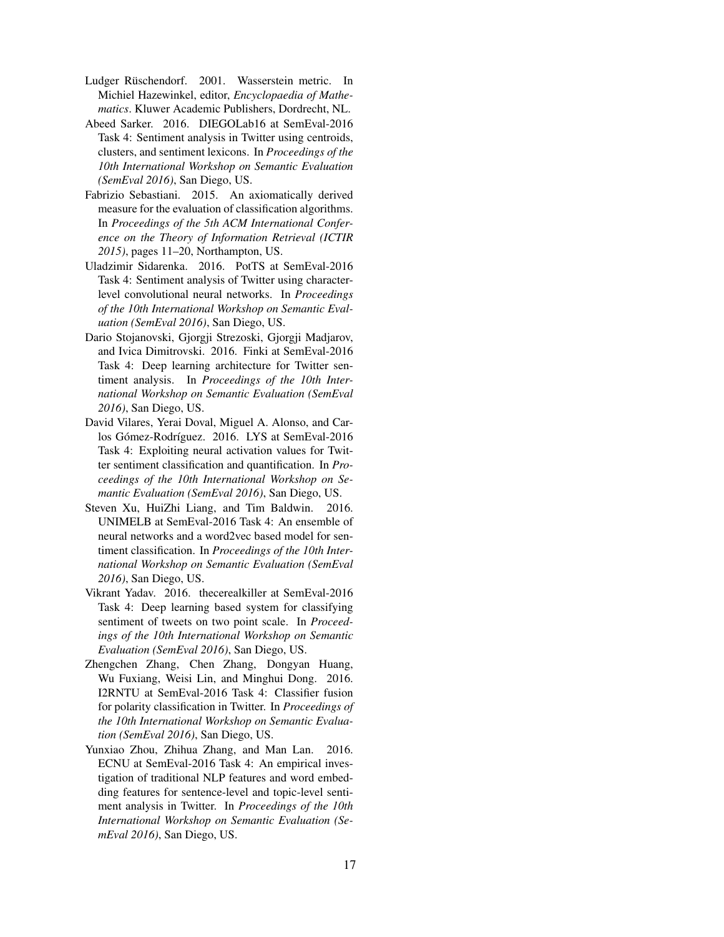- Ludger Rüschendorf. 2001. Wasserstein metric. In Michiel Hazewinkel, editor, *Encyclopaedia of Mathematics*. Kluwer Academic Publishers, Dordrecht, NL.
- Abeed Sarker. 2016. DIEGOLab16 at SemEval-2016 Task 4: Sentiment analysis in Twitter using centroids, clusters, and sentiment lexicons. In *Proceedings of the 10th International Workshop on Semantic Evaluation (SemEval 2016)*, San Diego, US.
- Fabrizio Sebastiani. 2015. An axiomatically derived measure for the evaluation of classification algorithms. In *Proceedings of the 5th ACM International Conference on the Theory of Information Retrieval (ICTIR 2015)*, pages 11–20, Northampton, US.
- Uladzimir Sidarenka. 2016. PotTS at SemEval-2016 Task 4: Sentiment analysis of Twitter using characterlevel convolutional neural networks. In *Proceedings of the 10th International Workshop on Semantic Evaluation (SemEval 2016)*, San Diego, US.
- Dario Stojanovski, Gjorgji Strezoski, Gjorgji Madjarov, and Ivica Dimitrovski. 2016. Finki at SemEval-2016 Task 4: Deep learning architecture for Twitter sentiment analysis. In *Proceedings of the 10th International Workshop on Semantic Evaluation (SemEval 2016)*, San Diego, US.
- David Vilares, Yerai Doval, Miguel A. Alonso, and Carlos Gómez-Rodríguez. 2016. LYS at SemEval-2016 Task 4: Exploiting neural activation values for Twitter sentiment classification and quantification. In *Proceedings of the 10th International Workshop on Semantic Evaluation (SemEval 2016)*, San Diego, US.
- Steven Xu, HuiZhi Liang, and Tim Baldwin. 2016. UNIMELB at SemEval-2016 Task 4: An ensemble of neural networks and a word2vec based model for sentiment classification. In *Proceedings of the 10th International Workshop on Semantic Evaluation (SemEval 2016)*, San Diego, US.
- Vikrant Yadav. 2016. thecerealkiller at SemEval-2016 Task 4: Deep learning based system for classifying sentiment of tweets on two point scale. In *Proceedings of the 10th International Workshop on Semantic Evaluation (SemEval 2016)*, San Diego, US.
- Zhengchen Zhang, Chen Zhang, Dongyan Huang, Wu Fuxiang, Weisi Lin, and Minghui Dong. 2016. I2RNTU at SemEval-2016 Task 4: Classifier fusion for polarity classification in Twitter. In *Proceedings of the 10th International Workshop on Semantic Evaluation (SemEval 2016)*, San Diego, US.
- Yunxiao Zhou, Zhihua Zhang, and Man Lan. 2016. ECNU at SemEval-2016 Task 4: An empirical investigation of traditional NLP features and word embedding features for sentence-level and topic-level sentiment analysis in Twitter. In *Proceedings of the 10th International Workshop on Semantic Evaluation (SemEval 2016)*, San Diego, US.